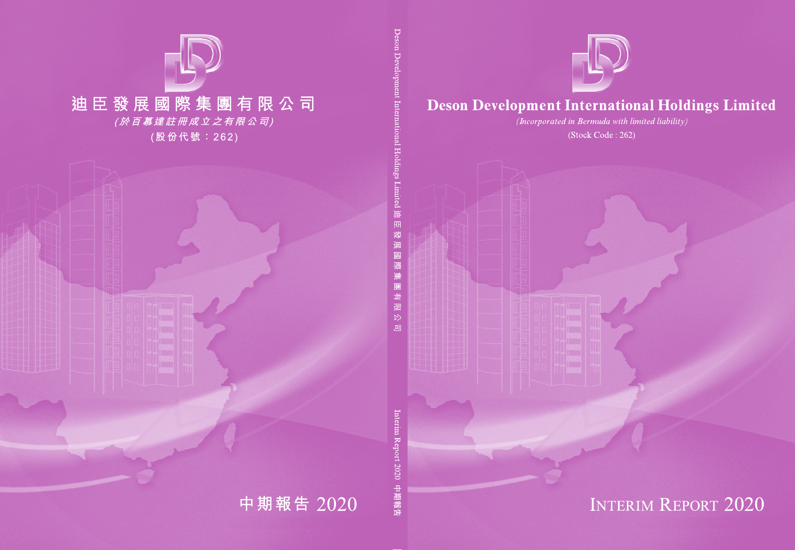

## **Deson Development International Holdings Limited**

(Incorporated in Bermuda with limited liability)

(Stock Code: 262)



# **INTERIM REPORT 2020**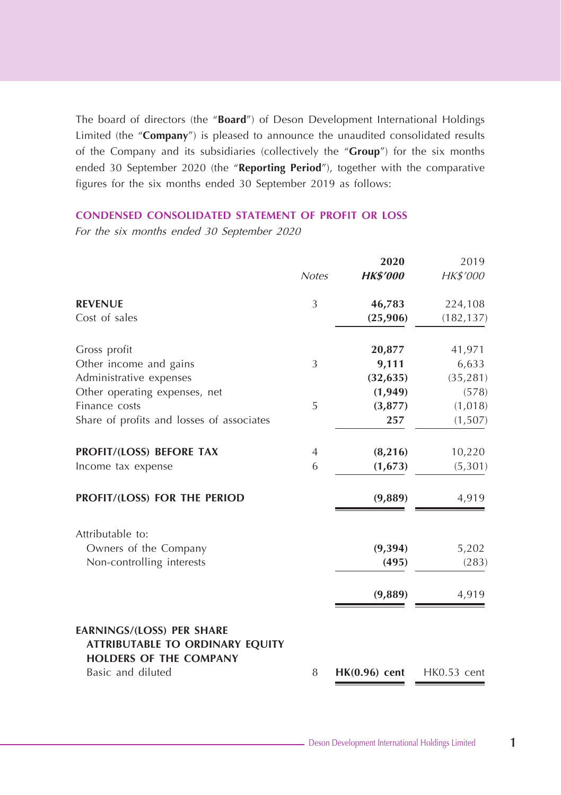The board of directors (the "**Board**") of Deson Development International Holdings Limited (the "**Company**") is pleased to announce the unaudited consolidated results of the Company and its subsidiaries (collectively the "**Group**") for the six months ended 30 September 2020 (the "**Reporting Period**"), together with the comparative figures for the six months ended 30 September 2019 as follows:

## **CONDENSED CONSOLIDATED STATEMENT OF PROFIT OR LOSS**

|                                                                                                             |                | 2020            | 2019          |
|-------------------------------------------------------------------------------------------------------------|----------------|-----------------|---------------|
|                                                                                                             | <b>Notes</b>   | <b>HK\$'000</b> | HK\$'000      |
| <b>REVENUE</b>                                                                                              | 3              | 46,783          | 224,108       |
| Cost of sales                                                                                               |                | (25,906)        | (182, 137)    |
| Gross profit                                                                                                |                | 20,877          | 41,971        |
| Other income and gains                                                                                      | 3              | 9,111           | 6,633         |
| Administrative expenses                                                                                     |                | (32, 635)       | (35, 281)     |
| Other operating expenses, net                                                                               |                | (1,949)         | (578)         |
| Finance costs                                                                                               | 5              | (3,877)         | (1,018)       |
| Share of profits and losses of associates                                                                   |                | 257             | (1,507)       |
| PROFIT/(LOSS) BEFORE TAX                                                                                    | $\overline{4}$ | (8, 216)        | 10,220        |
| Income tax expense                                                                                          | 6              | (1,673)         | (5,301)       |
| PROFIT/(LOSS) FOR THE PERIOD                                                                                |                | (9,889)         | 4,919         |
| Attributable to:                                                                                            |                |                 |               |
| Owners of the Company                                                                                       |                | (9, 394)        | 5,202         |
| Non-controlling interests                                                                                   |                | (495)           | (283)         |
|                                                                                                             |                | (9,889)         | 4,919         |
| <b>EARNINGS/(LOSS) PER SHARE</b><br><b>ATTRIBUTABLE TO ORDINARY EQUITY</b><br><b>HOLDERS OF THE COMPANY</b> |                |                 |               |
| Basic and diluted                                                                                           | 8              | $HK(0.96)$ cent | $HK0.53$ cent |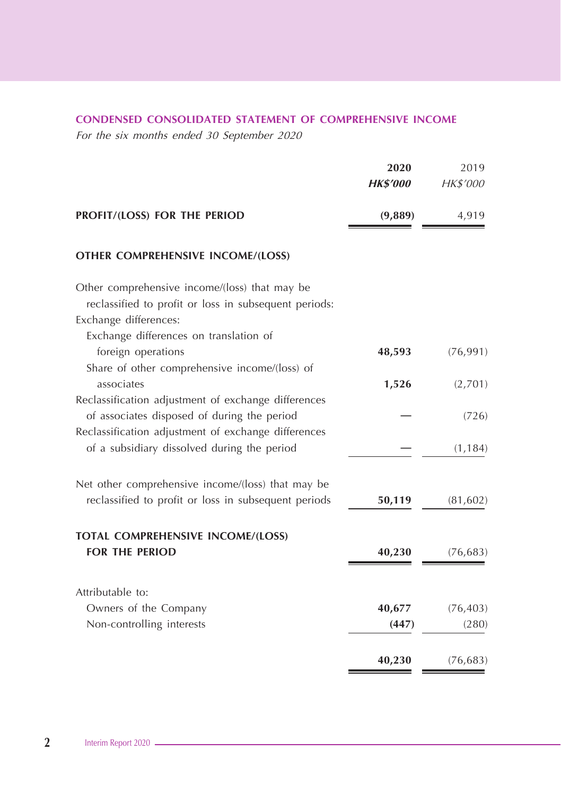## **CONDENSED CONSOLIDATED STATEMENT OF COMPREHENSIVE INCOME**

|                                                              | 2020            | 2019      |
|--------------------------------------------------------------|-----------------|-----------|
|                                                              | <b>HK\$'000</b> | HK\$'000  |
| PROFIT/(LOSS) FOR THE PERIOD                                 | (9,889)         | 4,919     |
| <b>OTHER COMPREHENSIVE INCOME/(LOSS)</b>                     |                 |           |
| Other comprehensive income/(loss) that may be                |                 |           |
| reclassified to profit or loss in subsequent periods:        |                 |           |
| Exchange differences:                                        |                 |           |
| Exchange differences on translation of<br>foreign operations | 48,593          | (76, 991) |
| Share of other comprehensive income/(loss) of                |                 |           |
| associates                                                   | 1,526           | (2,701)   |
| Reclassification adjustment of exchange differences          |                 |           |
| of associates disposed of during the period                  |                 | (726)     |
| Reclassification adjustment of exchange differences          |                 |           |
| of a subsidiary dissolved during the period                  |                 | (1, 184)  |
| Net other comprehensive income/(loss) that may be            |                 |           |
| reclassified to profit or loss in subsequent periods         | 50,119          | (81, 602) |
| <b>TOTAL COMPREHENSIVE INCOME/(LOSS)</b>                     |                 |           |
| <b>FOR THE PERIOD</b>                                        | 40,230          | (76, 683) |
| Attributable to:                                             |                 |           |
| Owners of the Company                                        | 40,677          | (76, 403) |
| Non-controlling interests                                    | (447)           | (280)     |
|                                                              | 40,230          | (76, 683) |
|                                                              |                 |           |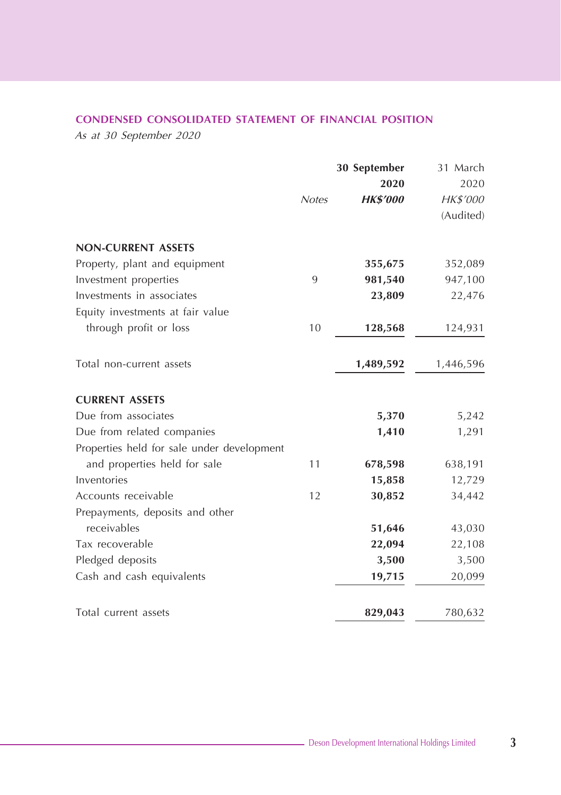## **CONDENSED CONSOLIDATED STATEMENT OF FINANCIAL POSITION**

As at 30 September 2020

|                                            |              | 30 September    | 31 March  |
|--------------------------------------------|--------------|-----------------|-----------|
|                                            |              | 2020            | 2020      |
|                                            | <b>Notes</b> | <b>HK\$'000</b> | HK\$'000  |
|                                            |              |                 | (Audited) |
| <b>NON-CURRENT ASSETS</b>                  |              |                 |           |
| Property, plant and equipment              |              | 355,675         | 352,089   |
| Investment properties                      | 9            | 981,540         | 947,100   |
| Investments in associates                  |              | 23,809          | 22,476    |
| Equity investments at fair value           |              |                 |           |
| through profit or loss                     | 10           | 128,568         | 124,931   |
| Total non-current assets                   |              | 1,489,592       | 1,446,596 |
| <b>CURRENT ASSETS</b>                      |              |                 |           |
| Due from associates                        |              | 5,370           | 5,242     |
| Due from related companies                 |              | 1,410           | 1,291     |
| Properties held for sale under development |              |                 |           |
| and properties held for sale               | 11           | 678,598         | 638,191   |
| Inventories                                |              | 15,858          | 12,729    |
| Accounts receivable                        | 12           | 30,852          | 34,442    |
| Prepayments, deposits and other            |              |                 |           |
| receivables                                |              | 51,646          | 43,030    |
| Tax recoverable                            |              | 22,094          | 22,108    |
| Pledged deposits                           |              | 3,500           | 3,500     |
| Cash and cash equivalents                  |              | 19,715          | 20,099    |
| Total current assets                       |              | 829,043         | 780,632   |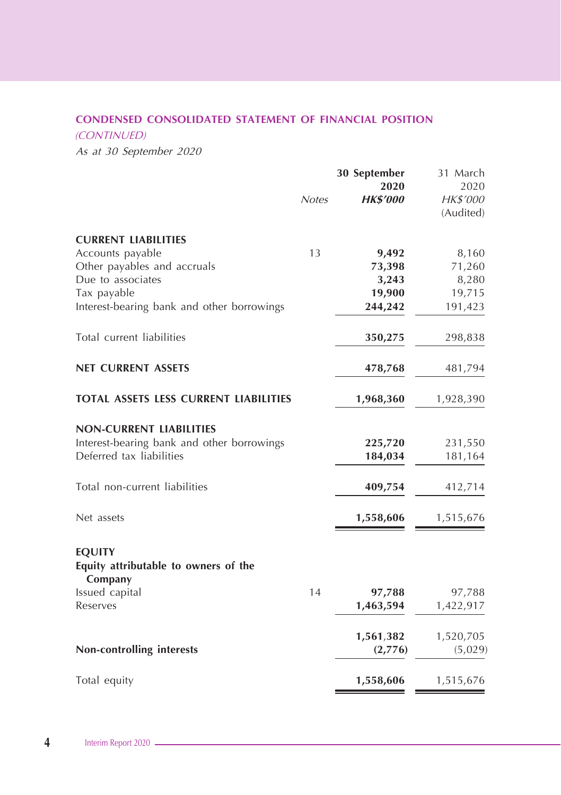## **CONDENSED CONSOLIDATED STATEMENT OF FINANCIAL POSITION**

(CONTINUED)

As at 30 September 2020

|                                                                                    | <b>Notes</b> | 30 September<br>2020<br><b>HK\$'000</b> | 31 March<br>2020<br>HK\$'000<br>(Audited) |
|------------------------------------------------------------------------------------|--------------|-----------------------------------------|-------------------------------------------|
| <b>CURRENT LIABILITIES</b>                                                         |              |                                         |                                           |
| Accounts payable                                                                   | 13           | 9,492                                   | 8,160                                     |
| Other payables and accruals                                                        |              | 73,398                                  | 71,260                                    |
| Due to associates                                                                  |              | 3,243                                   | 8,280                                     |
| Tax payable                                                                        |              | 19,900                                  | 19,715                                    |
| Interest-bearing bank and other borrowings                                         |              | 244,242                                 | 191,423                                   |
| Total current liabilities                                                          |              | 350,275                                 | 298,838                                   |
| <b>NET CURRENT ASSETS</b>                                                          |              | 478,768                                 | 481,794                                   |
| <b>TOTAL ASSETS LESS CURRENT LIABILITIES</b>                                       |              | 1,968,360                               | 1,928,390                                 |
| <b>NON-CURRENT LIABILITIES</b>                                                     |              |                                         |                                           |
| Interest-bearing bank and other borrowings                                         |              | 225,720                                 | 231,550                                   |
| Deferred tax liabilities                                                           |              | 184,034                                 | 181,164                                   |
| Total non-current liabilities                                                      |              | 409,754                                 | 412,714                                   |
| Net assets                                                                         |              | 1,558,606                               | 1,515,676                                 |
| <b>EQUITY</b><br>Equity attributable to owners of the<br>Company<br>Issued capital | 14           | 97,788                                  | 97,788                                    |
| Reserves                                                                           |              | 1,463,594                               | 1,422,917                                 |
| Non-controlling interests                                                          |              | 1,561,382<br>(2,776)                    | 1,520,705<br>(5,029)                      |
| Total equity                                                                       |              | 1,558,606                               | 1,515,676                                 |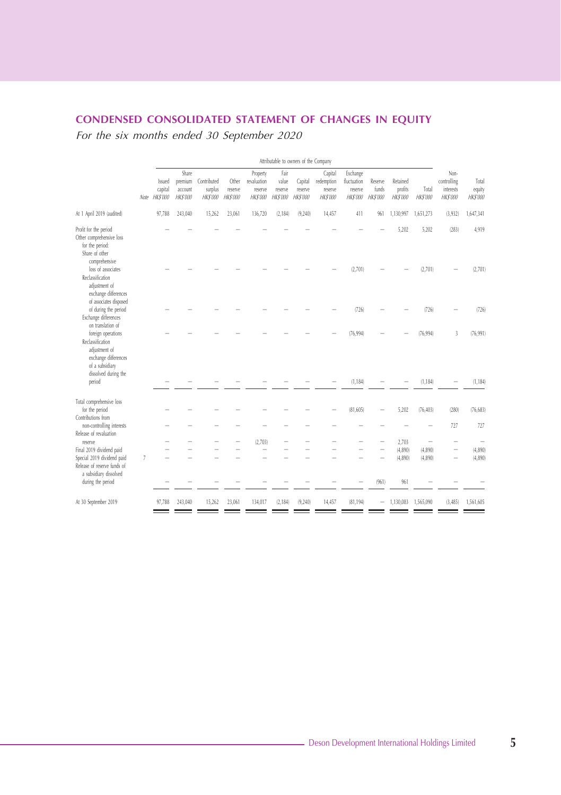## **CONDENSED CONSOLIDATED STATEMENT OF CHANGES IN EQUITY**

|                                                                                                                            |      | Attributable to owners of the Company       |                                                |                                           |                                    |                                                       |                                            |                                      |                                                    |                                                       |                                    |                                       |                         |                                                     |                                    |
|----------------------------------------------------------------------------------------------------------------------------|------|---------------------------------------------|------------------------------------------------|-------------------------------------------|------------------------------------|-------------------------------------------------------|--------------------------------------------|--------------------------------------|----------------------------------------------------|-------------------------------------------------------|------------------------------------|---------------------------------------|-------------------------|-----------------------------------------------------|------------------------------------|
|                                                                                                                            | Note | <b>Issued</b><br>capital<br><b>HK\$'000</b> | Share<br>premium<br>account<br><b>HK\$'000</b> | Contributed<br>surplus<br><b>HK\$'000</b> | Other<br>reserve<br><b>HKS'000</b> | Property<br>revaluation<br>reserve<br><b>HK\$'000</b> | Fair<br>value<br>reserve<br><b>HKS'000</b> | Capital<br>reserve<br><b>HKS'000</b> | Capital<br>redemption<br>reserve<br><b>HKS'000</b> | Exchange<br>fluctuation<br>reserve<br><b>HK\$'000</b> | Reserve<br>funds<br><b>HKS'000</b> | Retained<br>profits<br><b>HKS'000</b> | Total<br><b>HKS'000</b> | Non-<br>controlling<br>interests<br><b>HK\$'000</b> | Total<br>equity<br><b>HK\$'000</b> |
| At 1 April 2019 (audited)                                                                                                  |      | 97,788                                      | 243,040                                        | 15,262                                    | 23,061                             | 136,720                                               | (2, 184)                                   | (9, 240)                             | 14,457                                             | 411                                                   | 961                                | 1,130,997                             | 1,651,273               | (3,932)                                             | 1,647,341                          |
| Profit for the period<br>Other comprehensive loss<br>for the period:<br>Share of other                                     |      |                                             |                                                |                                           |                                    |                                                       |                                            |                                      |                                                    |                                                       |                                    | 5,202                                 | 5,202                   | (283)                                               | 4,919                              |
| comprehensive<br>loss of associates<br>Reclassification<br>adjustment of<br>exchange differences<br>of associates disposed |      |                                             |                                                |                                           |                                    |                                                       |                                            |                                      |                                                    | (2,701)                                               |                                    |                                       | (2,701)                 |                                                     | (2,701)                            |
| of during the period<br>Exchange differences<br>on translation of                                                          |      |                                             |                                                |                                           |                                    |                                                       |                                            |                                      |                                                    | (726)                                                 |                                    |                                       | (726)                   |                                                     | (726)                              |
| foreign operations<br>Reclassification<br>adjustment of<br>exchange differences<br>of a subsidiary<br>dissolved during the |      |                                             |                                                |                                           |                                    |                                                       |                                            |                                      |                                                    | (76, 994)                                             |                                    |                                       | (76, 994)               | 3                                                   | (76, 991)                          |
| period                                                                                                                     |      |                                             |                                                |                                           |                                    |                                                       |                                            |                                      |                                                    | (1, 184)                                              |                                    |                                       | (1, 184)                |                                                     | (1, 184)                           |
| Total comprehensive loss<br>for the period<br>Contributions from                                                           |      |                                             |                                                |                                           |                                    |                                                       |                                            |                                      |                                                    | (81, 605)                                             |                                    | 5,202                                 | (76, 403)               | (280)                                               | (76, 683)                          |
| non-controlling interests<br>Release of revaluation                                                                        |      |                                             |                                                |                                           |                                    |                                                       |                                            |                                      |                                                    |                                                       |                                    |                                       |                         | 727                                                 | 727                                |
| reserve                                                                                                                    |      |                                             |                                                |                                           |                                    | (2.703)                                               |                                            |                                      |                                                    |                                                       |                                    | 2,703                                 |                         |                                                     |                                    |
| Final 2019 dividend paid                                                                                                   |      |                                             |                                                |                                           |                                    |                                                       |                                            |                                      |                                                    |                                                       |                                    | (4,890)                               | (4,890)                 |                                                     | (4,890)                            |
| Special 2019 dividend paid<br>Release of reserve funds of<br>a subsidiary dissolved                                        | 7    |                                             |                                                |                                           |                                    |                                                       |                                            |                                      |                                                    |                                                       |                                    | (4,890)                               | (4,890)                 |                                                     | (4,890)                            |
| during the period                                                                                                          |      |                                             |                                                |                                           |                                    |                                                       |                                            |                                      |                                                    |                                                       | (961)                              | 961                                   |                         |                                                     |                                    |
| At 30 September 2019                                                                                                       |      | 97,788                                      | 243,040                                        | 15,262                                    | 23,061                             | 134,017                                               | (2, 184)                                   | (9, 240)                             | 14,457                                             | (81, 194)                                             |                                    | 1,130,083                             | 1,565,090               | (3, 485)                                            | 1,561,605                          |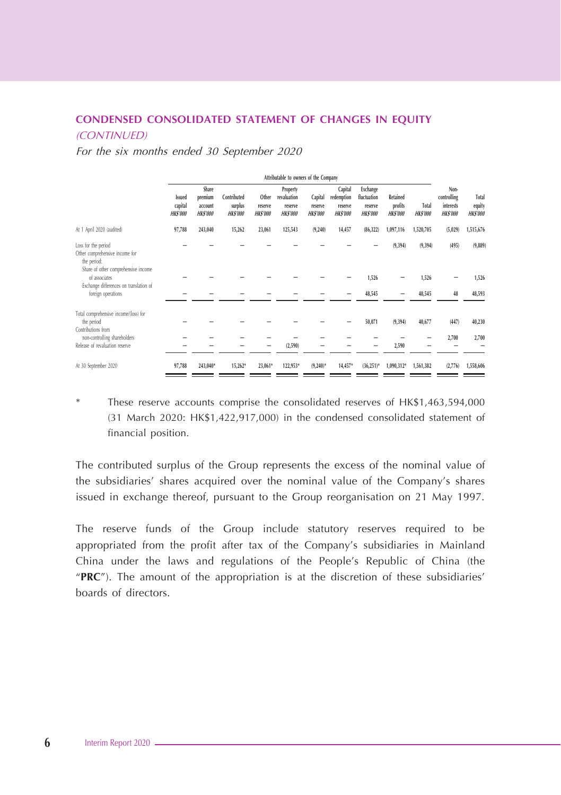## **CONDENSED CONSOLIDATED STATEMENT OF CHANGES IN EQUITY**  (CONTINUED)

For the six months ended 30 September 2020

|                                                                                                             | Attributable to owners of the Company       |                                               |                                           |                                     |                                                       |                                       |                                                     |                                                       |                                        |                          |                                                           |                                    |
|-------------------------------------------------------------------------------------------------------------|---------------------------------------------|-----------------------------------------------|-------------------------------------------|-------------------------------------|-------------------------------------------------------|---------------------------------------|-----------------------------------------------------|-------------------------------------------------------|----------------------------------------|--------------------------|-----------------------------------------------------------|------------------------------------|
|                                                                                                             | <b>Issued</b><br>capital<br><b>HK\$'000</b> | Share<br>premium<br>account<br><b>HKS'000</b> | Contributed<br>surplus<br><b>HK\$'000</b> | Other<br>reserve<br><b>HK\$'000</b> | Property<br>revaluation<br>reserve<br><b>HK\$'000</b> | Capital<br>reserve<br><b>HK\$'000</b> | Capital<br>redemption<br>reserve<br><b>HK\$'000</b> | Exchange<br>fluctuation<br>reserve<br><b>HK\$'000</b> | Retained<br>profits<br><b>HK\$'000</b> | Total<br><b>HK\$'000</b> | Non-<br>controlling<br><b>interests</b><br><b>HKS'000</b> | Total<br>equity<br><b>HK\$'000</b> |
| At 1 April 2020 (audited)                                                                                   | 97,788                                      | 243,040                                       | 15,262                                    | 23,061                              | 125,543                                               | (9, 240)                              | 14,457                                              | (86, 322)                                             | 1,097,116                              | 1,520,705                | (5,029)                                                   | 1,515,676                          |
| Loss for the period<br>Other comprehensive income for<br>the period:<br>Share of other comprehensive income |                                             |                                               |                                           |                                     |                                                       |                                       |                                                     |                                                       | (9, 394)                               | (9, 394)                 | (495)                                                     | (9,889)                            |
| of associates<br>Exchange differences on translation of                                                     |                                             |                                               |                                           |                                     |                                                       |                                       |                                                     | 1,526                                                 |                                        | 1,526                    |                                                           | 1,526                              |
| foreign operations                                                                                          |                                             |                                               |                                           |                                     |                                                       |                                       |                                                     | 48,545                                                |                                        | 48,545                   | 48                                                        | 48,593                             |
| Total comprehensive income/(loss) for<br>the period<br>Contributions from                                   |                                             |                                               |                                           |                                     |                                                       |                                       |                                                     | 50,071                                                | (9, 394)                               | 40,677                   | (447)                                                     | 40,230                             |
| non-controlling shareholders<br>Release of revaluation reserve                                              |                                             |                                               |                                           |                                     | (2,590)                                               |                                       |                                                     | -                                                     | 2,590                                  |                          | 2,700                                                     | 2,700                              |
| At 30 September 2020                                                                                        | 97,788                                      | 243,040*                                      | 15,262*                                   | 23,061*                             | 122,953*                                              | $(9,240)^*$                           | 14,457*                                             | $(36,251)^*$                                          | 1,090,312*                             | 1,561,382                | (2,776)                                                   | 1,558,606                          |

These reserve accounts comprise the consolidated reserves of HK\$1,463,594,000 (31 March 2020: HK\$1,422,917,000) in the condensed consolidated statement of financial position.

The contributed surplus of the Group represents the excess of the nominal value of the subsidiaries' shares acquired over the nominal value of the Company's shares issued in exchange thereof, pursuant to the Group reorganisation on 21 May 1997.

The reserve funds of the Group include statutory reserves required to be appropriated from the profit after tax of the Company's subsidiaries in Mainland China under the laws and regulations of the People's Republic of China (the "**PRC**"). The amount of the appropriation is at the discretion of these subsidiaries' boards of directors.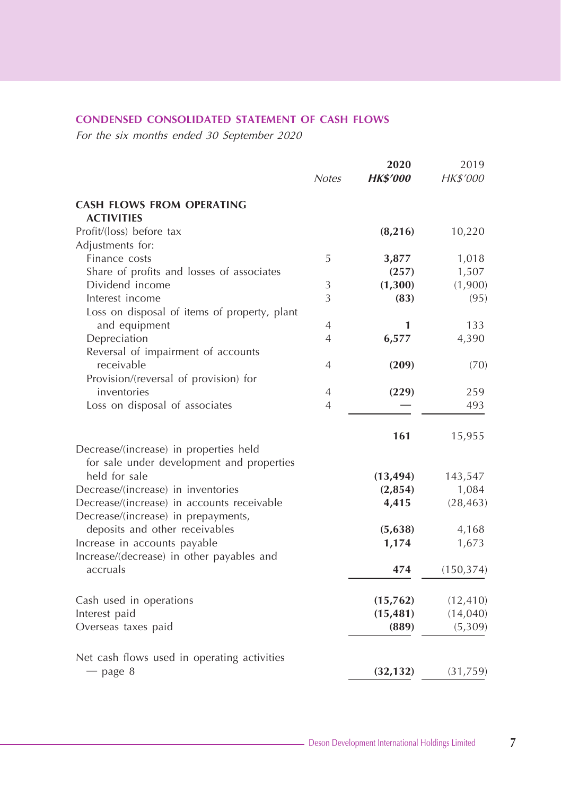## **CONDENSED CONSOLIDATED STATEMENT OF CASH FLOWS**

|                                                            | <b>Notes</b>   | 2020<br><b>HK\$'000</b> | 2019<br>HK\$'000 |
|------------------------------------------------------------|----------------|-------------------------|------------------|
| <b>CASH FLOWS FROM OPERATING</b><br><b>ACTIVITIES</b>      |                |                         |                  |
| Profit/(loss) before tax                                   |                | (8, 216)                | 10,220           |
| Adjustments for:                                           |                |                         |                  |
| Finance costs                                              | 5              | 3,877                   | 1,018            |
| Share of profits and losses of associates                  |                | (257)                   | 1,507            |
| Dividend income                                            | 3              | (1,300)                 | (1,900)          |
| Interest income                                            | 3              | (83)                    | (95)             |
| Loss on disposal of items of property, plant               |                |                         |                  |
| and equipment                                              | 4              | 1                       | 133              |
| Depreciation                                               | 4              | 6,577                   | 4,390            |
| Reversal of impairment of accounts                         |                |                         |                  |
| receivable                                                 | 4              | (209)                   | (70)             |
| Provision/(reversal of provision) for                      |                |                         |                  |
| inventories                                                | $\overline{4}$ | (229)                   | 259              |
| Loss on disposal of associates                             | $\overline{4}$ |                         | 493              |
|                                                            |                | 161                     | 15,955           |
|                                                            |                |                         |                  |
| Decrease/(increase) in properties held                     |                |                         |                  |
| for sale under development and properties<br>held for sale |                |                         |                  |
|                                                            |                | (13, 494)               | 143,547          |
| Decrease/(increase) in inventories                         |                | (2,854)                 | 1,084            |
| Decrease/(increase) in accounts receivable                 |                | 4,415                   | (28, 463)        |
| Decrease/(increase) in prepayments,                        |                |                         |                  |
| deposits and other receivables                             |                | (5,638)                 | 4,168            |
| Increase in accounts payable                               |                | 1,174                   | 1,673            |
| Increase/(decrease) in other payables and                  |                |                         |                  |
| accruals                                                   |                | 474                     | (150, 374)       |
| Cash used in operations                                    |                | (15,762)                | (12, 410)        |
| Interest paid                                              |                | (15, 481)               | (14, 040)        |
| Overseas taxes paid                                        |                | (889)                   | (5,309)          |
|                                                            |                |                         |                  |
| Net cash flows used in operating activities                |                |                         |                  |
| $-$ page 8                                                 |                | (32, 132)               | (31,759)         |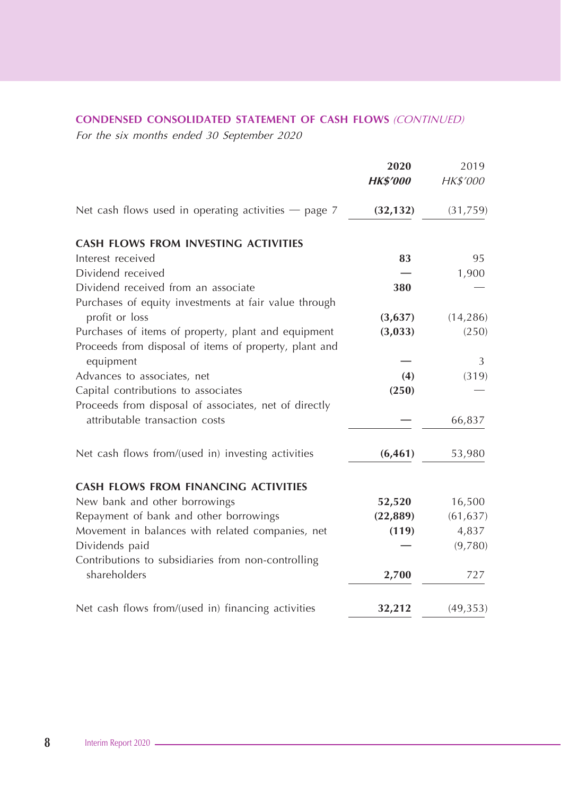## **CONDENSED CONSOLIDATED STATEMENT OF CASH FLOWS** (CONTINUED)

|                                                        | 2020            | 2019      |
|--------------------------------------------------------|-----------------|-----------|
|                                                        | <b>HK\$'000</b> | HK\$'000  |
| Net cash flows used in operating activities $-$ page 7 | (32, 132)       | (31,759)  |
| <b>CASH FLOWS FROM INVESTING ACTIVITIES</b>            |                 |           |
| Interest received                                      | 83              | 95        |
| Dividend received                                      |                 | 1,900     |
| Dividend received from an associate                    | 380             |           |
| Purchases of equity investments at fair value through  |                 |           |
| profit or loss                                         | (3,637)         | (14, 286) |
| Purchases of items of property, plant and equipment    | (3,033)         | (250)     |
| Proceeds from disposal of items of property, plant and |                 |           |
| equipment                                              |                 | 3         |
| Advances to associates, net                            | (4)             | (319)     |
| Capital contributions to associates                    | (250)           |           |
| Proceeds from disposal of associates, net of directly  |                 |           |
| attributable transaction costs                         |                 | 66,837    |
| Net cash flows from/(used in) investing activities     | (6, 461)        | 53,980    |
| <b>CASH FLOWS FROM FINANCING ACTIVITIES</b>            |                 |           |
| New bank and other borrowings                          | 52,520          | 16,500    |
| Repayment of bank and other borrowings                 | (22, 889)       | (61, 637) |
| Movement in balances with related companies, net       | (119)           | 4,837     |
| Dividends paid                                         |                 | (9,780)   |
| Contributions to subsidiaries from non-controlling     |                 |           |
| shareholders                                           | 2,700           | 727       |
| Net cash flows from/(used in) financing activities     | 32,212          | (49, 353) |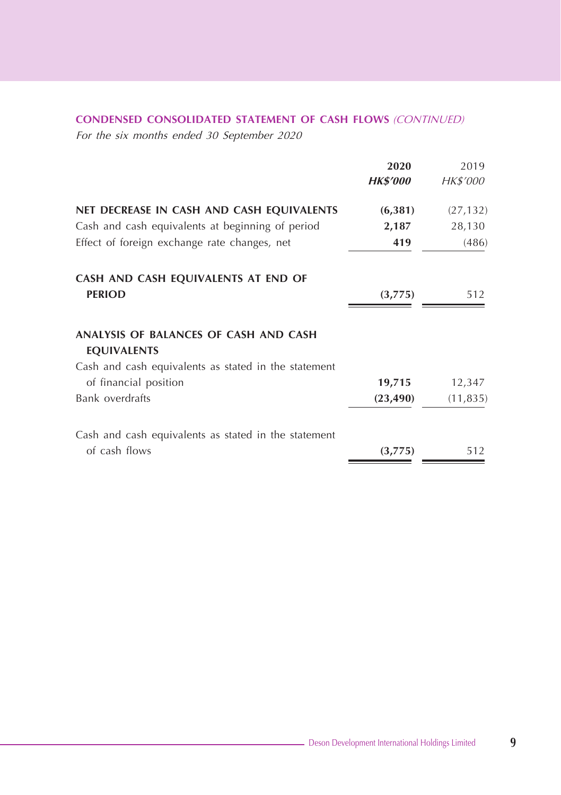## **CONDENSED CONSOLIDATED STATEMENT OF CASH FLOWS** (CONTINUED)

|                                                             | 2020            | 2019            |
|-------------------------------------------------------------|-----------------|-----------------|
|                                                             | <b>HK\$'000</b> | <i>HK\$'000</i> |
| NET DECREASE IN CASH AND CASH EQUIVALENTS                   | (6, 381)        | (27, 132)       |
| Cash and cash equivalents at beginning of period            | 2,187           | 28,130          |
| Effect of foreign exchange rate changes, net                | 419             | (486)           |
| CASH AND CASH EQUIVALENTS AT END OF                         |                 |                 |
| <b>PERIOD</b>                                               | (3,775)         | 512             |
| ANALYSIS OF BALANCES OF CASH AND CASH<br><b>EQUIVALENTS</b> |                 |                 |
| Cash and cash equivalents as stated in the statement        |                 |                 |
| of financial position                                       | 19,715          | 12,347          |
| Bank overdrafts                                             | (23, 490)       | (11, 835)       |
| Cash and cash equivalents as stated in the statement        |                 |                 |
| of cash flows                                               | (3,775)         | 512             |
|                                                             |                 |                 |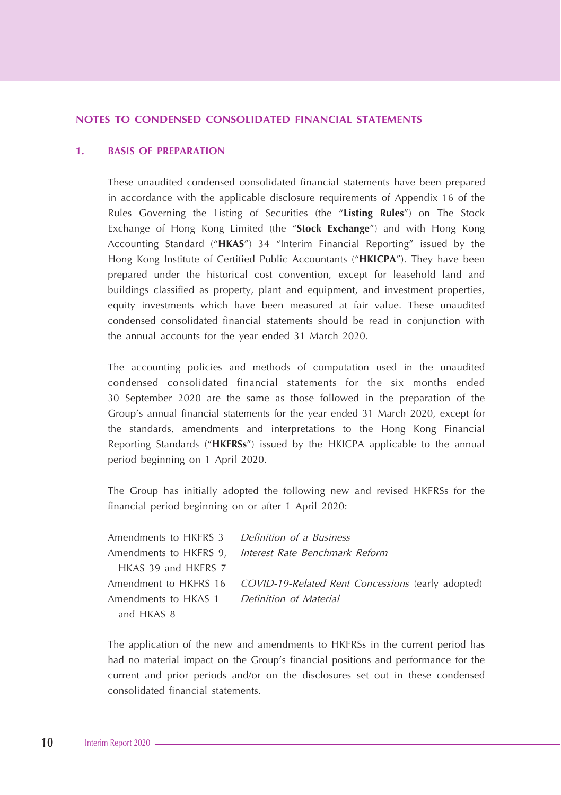#### **NOTES TO CONDENSED CONSOLIDATED FINANCIAL STATEMENTS**

#### **1. BASIS OF PREPARATION**

These unaudited condensed consolidated financial statements have been prepared in accordance with the applicable disclosure requirements of Appendix 16 of the Rules Governing the Listing of Securities (the "**Listing Rules**") on The Stock Exchange of Hong Kong Limited (the "**Stock Exchange**") and with Hong Kong Accounting Standard ("**HKAS**") 34 "Interim Financial Reporting" issued by the Hong Kong Institute of Certified Public Accountants ("**HKICPA**"). They have been prepared under the historical cost convention, except for leasehold land and buildings classified as property, plant and equipment, and investment properties, equity investments which have been measured at fair value. These unaudited condensed consolidated financial statements should be read in conjunction with the annual accounts for the year ended 31 March 2020.

The accounting policies and methods of computation used in the unaudited condensed consolidated financial statements for the six months ended 30 September 2020 are the same as those followed in the preparation of the Group's annual financial statements for the year ended 31 March 2020, except for the standards, amendments and interpretations to the Hong Kong Financial Reporting Standards ("**HKFRSs**") issued by the HKICPA applicable to the annual period beginning on 1 April 2020.

The Group has initially adopted the following new and revised HKFRSs for the financial period beginning on or after 1 April 2020:

| Amendments to HKFRS 3 Definition of a Business |                                                                         |
|------------------------------------------------|-------------------------------------------------------------------------|
|                                                | Amendments to HKFRS 9, Interest Rate Benchmark Reform                   |
| HKAS 39 and HKFRS 7                            |                                                                         |
|                                                | Amendment to HKFRS 16 COVID-19-Related Rent Concessions (early adopted) |
| Amendments to HKAS 1 Definition of Material    |                                                                         |
| and HKAS 8                                     |                                                                         |

The application of the new and amendments to HKFRSs in the current period has had no material impact on the Group's financial positions and performance for the current and prior periods and/or on the disclosures set out in these condensed consolidated financial statements.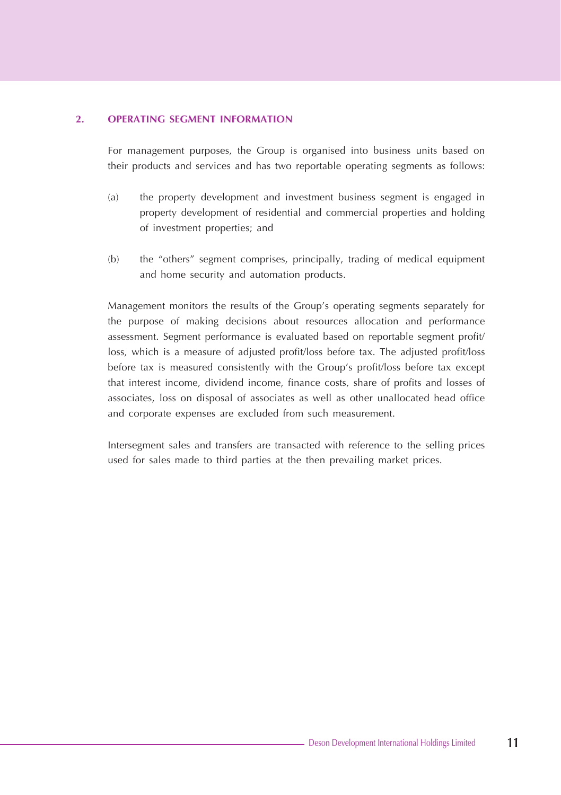#### **2. OPERATING SEGMENT INFORMATION**

For management purposes, the Group is organised into business units based on their products and services and has two reportable operating segments as follows:

- (a) the property development and investment business segment is engaged in property development of residential and commercial properties and holding of investment properties; and
- (b) the "others" segment comprises, principally, trading of medical equipment and home security and automation products.

Management monitors the results of the Group's operating segments separately for the purpose of making decisions about resources allocation and performance assessment. Segment performance is evaluated based on reportable segment profit/ loss, which is a measure of adjusted profit/loss before tax. The adjusted profit/loss before tax is measured consistently with the Group's profit/loss before tax except that interest income, dividend income, finance costs, share of profits and losses of associates, loss on disposal of associates as well as other unallocated head office and corporate expenses are excluded from such measurement.

Intersegment sales and transfers are transacted with reference to the selling prices used for sales made to third parties at the then prevailing market prices.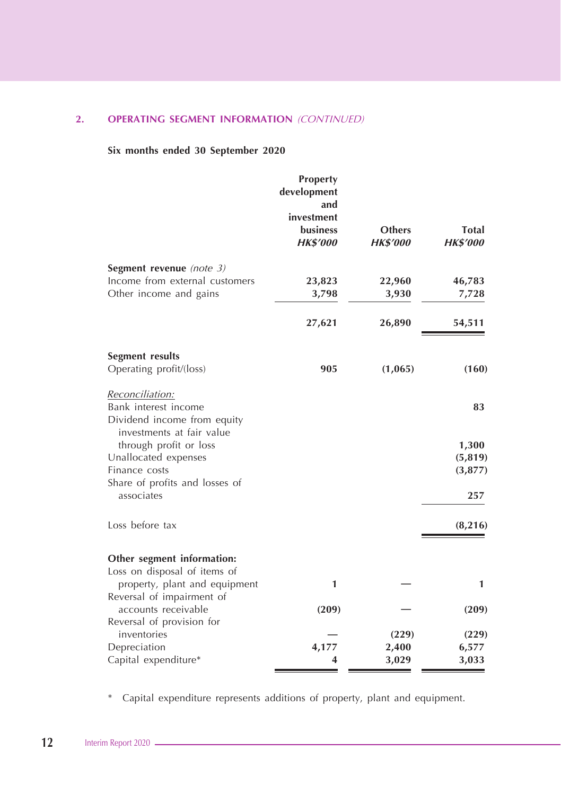## **2. OPERATING SEGMENT INFORMATION** (CONTINUED)

## **Six months ended 30 September 2020**

|                                                          | Property<br>development<br>and<br>investment<br>business | <b>Others</b>   | <b>Total</b>    |
|----------------------------------------------------------|----------------------------------------------------------|-----------------|-----------------|
|                                                          | <b>HK\$'000</b>                                          | <b>HK\$'000</b> | <b>HK\$'000</b> |
| Segment revenue (note $3$ )                              |                                                          |                 |                 |
| Income from external customers                           | 23,823                                                   | 22,960          | 46,783          |
| Other income and gains                                   | 3,798                                                    | 3,930           | 7,728           |
|                                                          | 27,621                                                   | 26,890          | 54,511          |
| Segment results                                          |                                                          |                 |                 |
| Operating profit/(loss)                                  | 905                                                      | (1,065)         | (160)           |
| Reconciliation:                                          |                                                          |                 |                 |
| Bank interest income                                     |                                                          |                 | 83              |
| Dividend income from equity<br>investments at fair value |                                                          |                 |                 |
| through profit or loss                                   |                                                          |                 | 1,300           |
| Unallocated expenses                                     |                                                          |                 | (5, 819)        |
| Finance costs                                            |                                                          |                 | (3, 877)        |
| Share of profits and losses of<br>associates             |                                                          |                 | 257             |
| Loss before tax                                          |                                                          |                 | (8, 216)        |
| Other segment information:                               |                                                          |                 |                 |
| Loss on disposal of items of                             |                                                          |                 |                 |
| property, plant and equipment                            | 1                                                        |                 | 1               |
| Reversal of impairment of                                |                                                          |                 |                 |
| accounts receivable                                      | (209)                                                    |                 | (209)           |
| Reversal of provision for                                |                                                          |                 |                 |
| inventories                                              |                                                          | (229)           | (229)           |
| Depreciation                                             | 4,177                                                    | 2,400           | 6,577           |
| Capital expenditure*                                     | 4                                                        | 3,029           | 3,033           |

\* Capital expenditure represents additions of property, plant and equipment.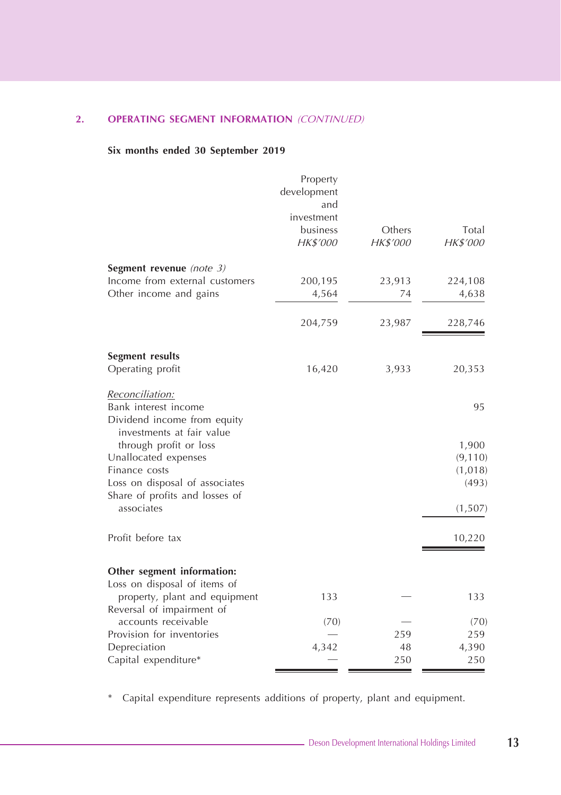## **2. OPERATING SEGMENT INFORMATION** (CONTINUED)

## **Six months ended 30 September 2019**

|                                                                  | Property<br>development<br>and<br>investment |           |              |
|------------------------------------------------------------------|----------------------------------------------|-----------|--------------|
|                                                                  | business                                     | Others    | Total        |
|                                                                  | <b>HK\$'000</b>                              | HK\$'000  | HK\$'000     |
| Segment revenue (note 3)                                         |                                              |           |              |
| Income from external customers                                   | 200,195                                      | 23,913    | 224,108      |
| Other income and gains                                           | 4,564                                        | 74        | 4,638        |
|                                                                  | 204,759                                      | 23,987    | 228,746      |
| Segment results                                                  |                                              |           |              |
| Operating profit                                                 | 16,420                                       | 3,933     | 20,353       |
| Reconciliation:                                                  |                                              |           |              |
| Bank interest income                                             |                                              |           | 95           |
| Dividend income from equity<br>investments at fair value         |                                              |           |              |
| through profit or loss                                           |                                              |           | 1,900        |
| Unallocated expenses                                             |                                              |           | (9, 110)     |
| Finance costs                                                    |                                              |           | (1,018)      |
| Loss on disposal of associates<br>Share of profits and losses of |                                              |           | (493)        |
| associates                                                       |                                              |           | (1,507)      |
| Profit before tax                                                |                                              |           | 10,220       |
|                                                                  |                                              |           |              |
| Other segment information:                                       |                                              |           |              |
| Loss on disposal of items of                                     |                                              |           |              |
| property, plant and equipment                                    | 133                                          |           | 133          |
| Reversal of impairment of                                        |                                              |           |              |
| accounts receivable                                              | (70)                                         |           | (70)         |
| Provision for inventories                                        |                                              | 259       | 259          |
| Depreciation                                                     | 4,342                                        | 48<br>250 | 4,390<br>250 |
| Capital expenditure*                                             |                                              |           |              |

\* Capital expenditure represents additions of property, plant and equipment.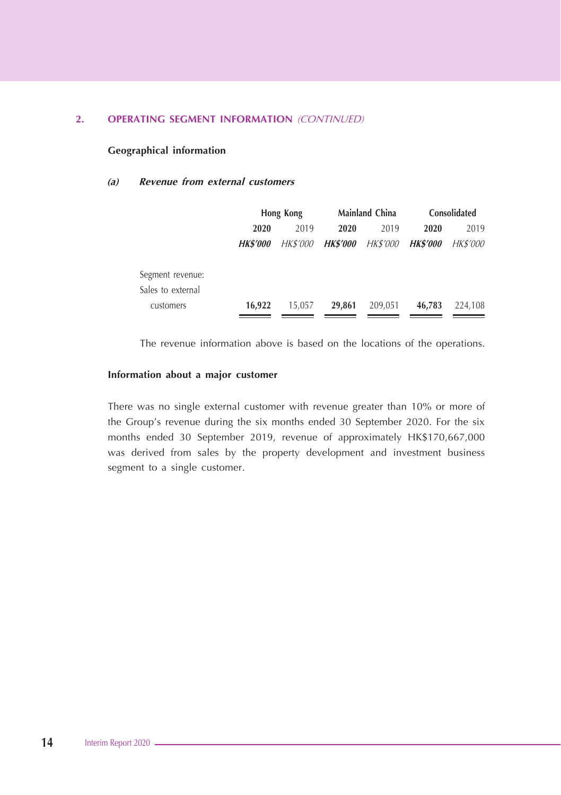#### **2. OPERATING SEGMENT INFORMATION** (CONTINUED)

#### **Geographical information**

#### **(a) Revenue from external customers**

|                   |                 | Hong Kong       |                 | Mainland China  |                 | Consolidated    |
|-------------------|-----------------|-----------------|-----------------|-----------------|-----------------|-----------------|
|                   | 2020            | 2019            | 2020            | 2019            | 2020            | 2019            |
|                   | <b>HK\$'000</b> | <b>HK\$'000</b> | <b>HK\$'000</b> | <b>HK\$'000</b> | <b>HK\$'000</b> | <i>HK\$'000</i> |
| Segment revenue:  |                 |                 |                 |                 |                 |                 |
| Sales to external |                 |                 |                 |                 |                 |                 |
| customers         | 16.922          | 15.057          | 29.861          | 209,051         | 46.783          | 224.108         |

The revenue information above is based on the locations of the operations.

#### **Information about a major customer**

There was no single external customer with revenue greater than 10% or more of the Group's revenue during the six months ended 30 September 2020. For the six months ended 30 September 2019, revenue of approximately HK\$170,667,000 was derived from sales by the property development and investment business segment to a single customer.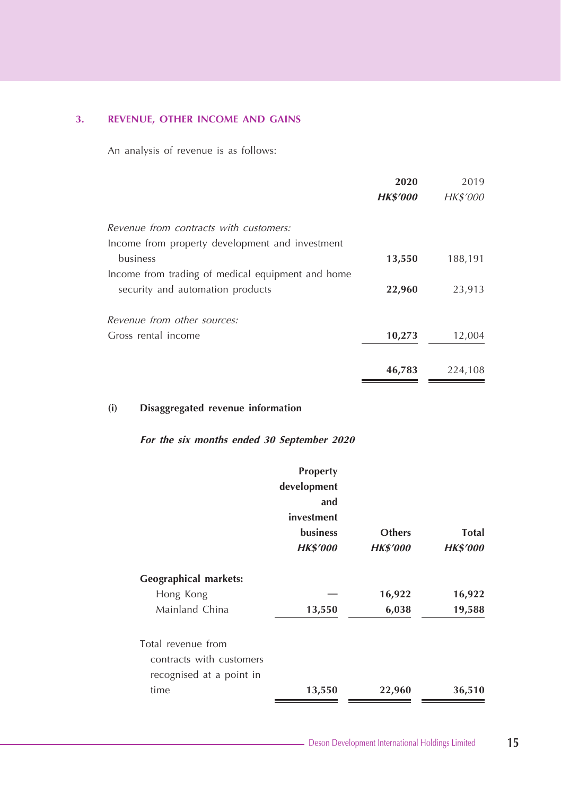## **3. REVENUE, OTHER INCOME AND GAINS**

An analysis of revenue is as follows:

|                                                   | 2020            | 2019     |
|---------------------------------------------------|-----------------|----------|
|                                                   | <b>HK\$'000</b> | HK\$'000 |
| Revenue from contracts with customers:            |                 |          |
| Income from property development and investment   |                 |          |
| business                                          | 13,550          | 188,191  |
| Income from trading of medical equipment and home |                 |          |
| security and automation products                  | 22,960          | 23,913   |
| Revenue from other sources:                       |                 |          |
| Gross rental income                               | 10,273          | 12,004   |
|                                                   | 46,783          | 224,108  |

## **(i) Disaggregated revenue information**

|                              | Property        |                 |                 |
|------------------------------|-----------------|-----------------|-----------------|
|                              | development     |                 |                 |
|                              | and             |                 |                 |
|                              | investment      |                 |                 |
|                              | <b>business</b> | <b>Others</b>   | Total           |
|                              | <b>HK\$'000</b> | <b>HK\$'000</b> | <b>HK\$'000</b> |
| <b>Geographical markets:</b> |                 |                 |                 |
| Hong Kong                    |                 | 16,922          | 16,922          |
| Mainland China               | 13,550          | 6,038           | 19,588          |
| Total revenue from           |                 |                 |                 |
| contracts with customers     |                 |                 |                 |
| recognised at a point in     |                 |                 |                 |
| time                         | 13,550          | 22,960          | 36,510          |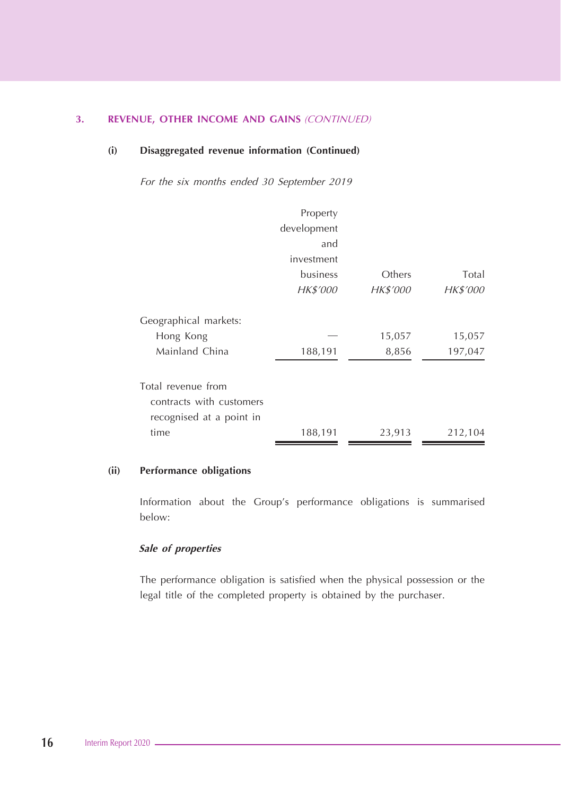#### **3. REVENUE, OTHER INCOME AND GAINS** (CONTINUED)

#### **(i) Disaggregated revenue information (Continued)**

For the six months ended 30 September 2019

|                          | Property    |          |          |
|--------------------------|-------------|----------|----------|
|                          | development |          |          |
|                          | and         |          |          |
|                          | investment  |          |          |
|                          | business    | Others   | Total    |
|                          | HK\$'000    | HK\$'000 | HK\$'000 |
| Geographical markets:    |             |          |          |
| Hong Kong                |             | 15,057   | 15,057   |
| Mainland China           | 188,191     | 8,856    | 197,047  |
| Total revenue from       |             |          |          |
| contracts with customers |             |          |          |
| recognised at a point in |             |          |          |
| time                     | 188,191     | 23,913   | 212,104  |

#### **(ii) Performance obligations**

Information about the Group's performance obligations is summarised below:

## **Sale of properties**

The performance obligation is satisfied when the physical possession or the legal title of the completed property is obtained by the purchaser.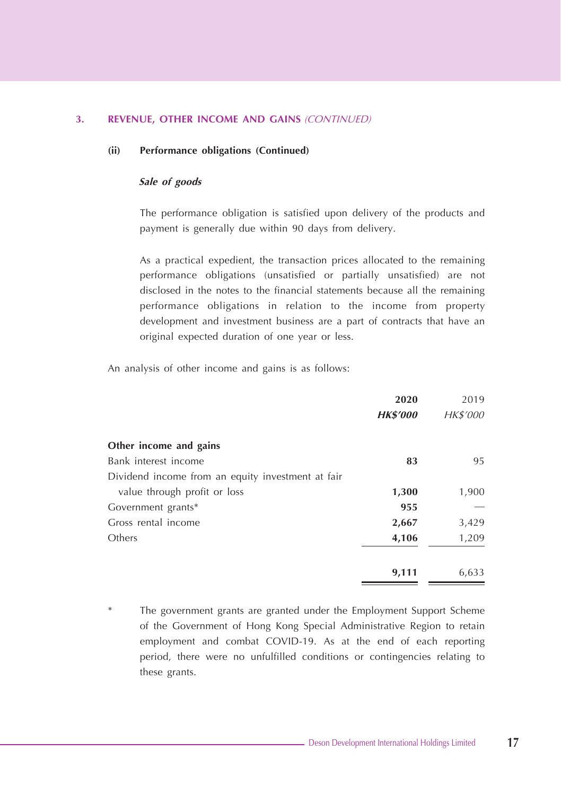#### **3. REVENUE, OTHER INCOME AND GAINS** (CONTINUED)

#### **(ii) Performance obligations (Continued)**

#### **Sale of goods**

The performance obligation is satisfied upon delivery of the products and payment is generally due within 90 days from delivery.

As a practical expedient, the transaction prices allocated to the remaining performance obligations (unsatisfied or partially unsatisfied) are not disclosed in the notes to the financial statements because all the remaining performance obligations in relation to the income from property development and investment business are a part of contracts that have an original expected duration of one year or less.

An analysis of other income and gains is as follows:

|                                                   | 2020            | 2019     |
|---------------------------------------------------|-----------------|----------|
|                                                   | <b>HK\$'000</b> | HK\$'000 |
| Other income and gains                            |                 |          |
| Bank interest income                              | 83              | 95       |
| Dividend income from an equity investment at fair |                 |          |
| value through profit or loss                      | 1,300           | 1,900    |
| Government grants*                                | 955             |          |
| Gross rental income                               | 2,667           | 3,429    |
| Others                                            | 4,106           | 1,209    |
|                                                   | 9,111           | 6,633    |

The government grants are granted under the Employment Support Scheme of the Government of Hong Kong Special Administrative Region to retain employment and combat COVID-19. As at the end of each reporting period, there were no unfulfilled conditions or contingencies relating to these grants.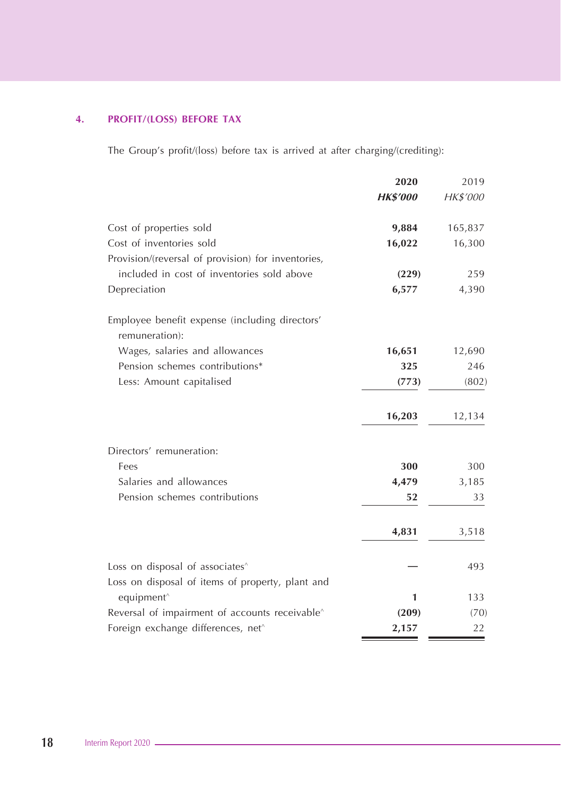## **4. PROFIT/(LOSS) BEFORE TAX**

The Group's profit/(loss) before tax is arrived at after charging/(crediting):

|                                                                  | 2020            | 2019     |
|------------------------------------------------------------------|-----------------|----------|
|                                                                  | <b>HK\$'000</b> | HK\$'000 |
| Cost of properties sold                                          | 9,884           | 165,837  |
| Cost of inventories sold                                         | 16,022          | 16,300   |
| Provision/(reversal of provision) for inventories,               |                 |          |
| included in cost of inventories sold above                       | (229)           | 259      |
| Depreciation                                                     | 6,577           | 4,390    |
| Employee benefit expense (including directors'<br>remuneration): |                 |          |
| Wages, salaries and allowances                                   | 16,651          | 12,690   |
| Pension schemes contributions*                                   | 325             | 246      |
| Less: Amount capitalised                                         | (773)           | (802)    |
|                                                                  | 16,203          | 12,134   |
| Directors' remuneration:                                         |                 |          |
| Fees                                                             | 300             | 300      |
| Salaries and allowances                                          | 4,479           | 3,185    |
| Pension schemes contributions                                    | 52              | 33       |
|                                                                  | 4,831           | 3,518    |
| Loss on disposal of associates^                                  |                 | 493      |
| Loss on disposal of items of property, plant and                 |                 |          |
| equipment <sup>^</sup>                                           | 1               | 133      |
| Reversal of impairment of accounts receivable <sup>^</sup>       | (209)           | (70)     |
| Foreign exchange differences, net^                               | 2,157           | 22       |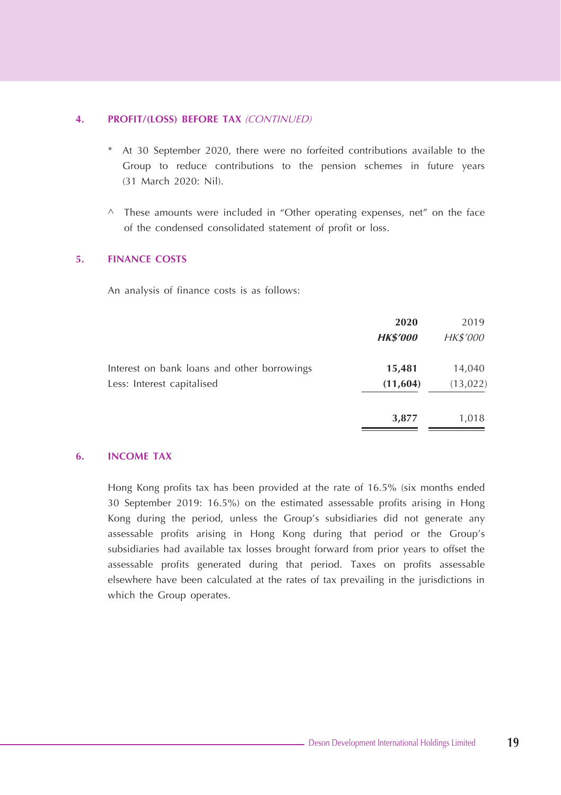#### **4. PROFIT/(LOSS) BEFORE TAX** (CONTINUED)

- \* At 30 September 2020, there were no forfeited contributions available to the Group to reduce contributions to the pension schemes in future years (31 March 2020: Nil).
- $\wedge$  These amounts were included in "Other operating expenses, net" on the face of the condensed consolidated statement of profit or loss.

#### **5. FINANCE COSTS**

An analysis of finance costs is as follows:

|                                             | 2020            | 2019      |
|---------------------------------------------|-----------------|-----------|
|                                             | <b>HK\$'000</b> | HK\$'000  |
| Interest on bank loans and other borrowings | 15,481          | 14,040    |
| Less: Interest capitalised                  | (11,604)        | (13, 022) |
|                                             | 3,877           | 1,018     |

#### **6. INCOME TAX**

Hong Kong profits tax has been provided at the rate of 16.5% (six months ended 30 September 2019: 16.5%) on the estimated assessable profits arising in Hong Kong during the period, unless the Group's subsidiaries did not generate any assessable profits arising in Hong Kong during that period or the Group's subsidiaries had available tax losses brought forward from prior years to offset the assessable profits generated during that period. Taxes on profits assessable elsewhere have been calculated at the rates of tax prevailing in the jurisdictions in which the Group operates.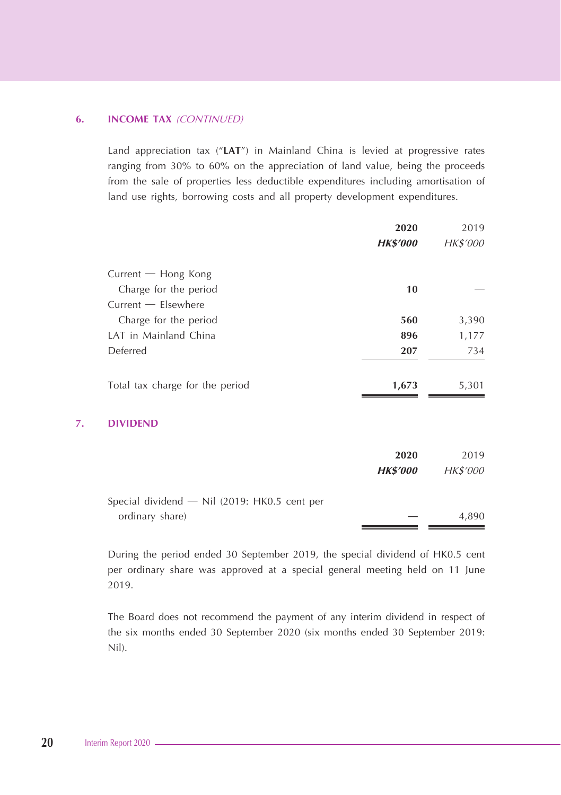#### **6. INCOME TAX** (CONTINUED)

Land appreciation tax ("**LAT**") in Mainland China is levied at progressive rates ranging from 30% to 60% on the appreciation of land value, being the proceeds from the sale of properties less deductible expenditures including amortisation of land use rights, borrowing costs and all property development expenditures.

|    |                                              | 2020            | 2019     |
|----|----------------------------------------------|-----------------|----------|
|    |                                              | <b>HK\$'000</b> | HK\$'000 |
|    | Current - Hong Kong                          |                 |          |
|    | Charge for the period                        | 10              |          |
|    | Current - Elsewhere                          |                 |          |
|    | Charge for the period                        | 560             | 3,390    |
|    | LAT in Mainland China                        | 896             | 1,177    |
|    | Deferred                                     | 207             | 734      |
|    | Total tax charge for the period              | 1,673           | 5,301    |
| 7. | <b>DIVIDEND</b>                              |                 |          |
|    |                                              | 2020            | 2019     |
|    |                                              | <b>HK\$'000</b> | HK\$'000 |
|    | Special dividend - Nil (2019: HK0.5 cent per |                 |          |
|    | ordinary share)                              |                 | 4,890    |

During the period ended 30 September 2019, the special dividend of HK0.5 cent per ordinary share was approved at a special general meeting held on 11 June 2019.

The Board does not recommend the payment of any interim dividend in respect of the six months ended 30 September 2020 (six months ended 30 September 2019: Nil).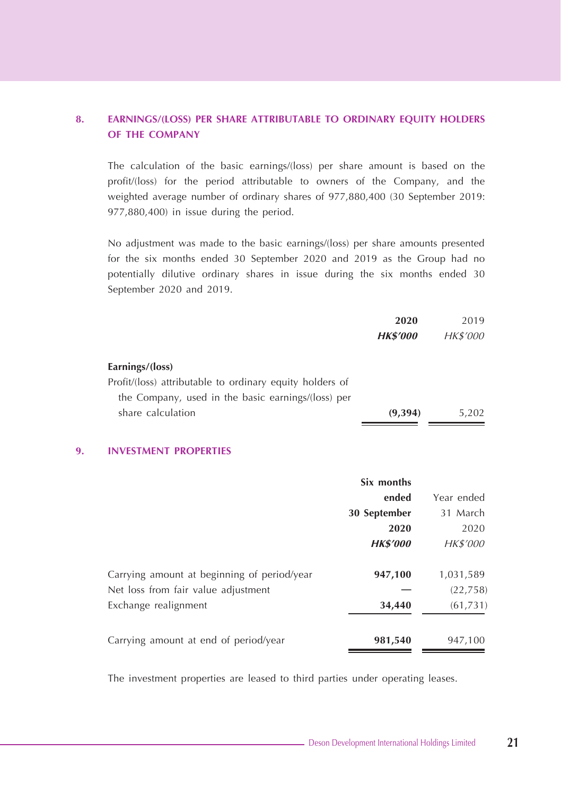## **8. EARNINGS/(LOSS) PER SHARE ATTRIBUTABLE TO ORDINARY EQUITY HOLDERS OF THE COMPANY**

The calculation of the basic earnings/(loss) per share amount is based on the profit/(loss) for the period attributable to owners of the Company, and the weighted average number of ordinary shares of 977,880,400 (30 September 2019: 977,880,400) in issue during the period.

No adjustment was made to the basic earnings/(loss) per share amounts presented for the six months ended 30 September 2020 and 2019 as the Group had no potentially dilutive ordinary shares in issue during the six months ended 30 September 2020 and 2019.

|                                                          | 2020            | 2019            |
|----------------------------------------------------------|-----------------|-----------------|
|                                                          | <b>HK\$'000</b> | <b>HK\$'000</b> |
| Earnings/(loss)                                          |                 |                 |
| Profit/(loss) attributable to ordinary equity holders of |                 |                 |
| the Company, used in the basic earnings/(loss) per       |                 |                 |
| share calculation                                        | (9,394)         | 5.202           |

#### **9. INVESTMENT PROPERTIES**

|                                             | Six months      |            |
|---------------------------------------------|-----------------|------------|
|                                             | ended           | Year ended |
|                                             | 30 September    | 31 March   |
|                                             | 2020            | 2020       |
|                                             | <b>HK\$'000</b> | HK\$'000   |
| Carrying amount at beginning of period/year | 947,100         | 1,031,589  |
| Net loss from fair value adjustment         |                 | (22, 758)  |
| Exchange realignment                        | 34,440          | (61, 731)  |
| Carrying amount at end of period/year       | 981,540         | 947,100    |

The investment properties are leased to third parties under operating leases.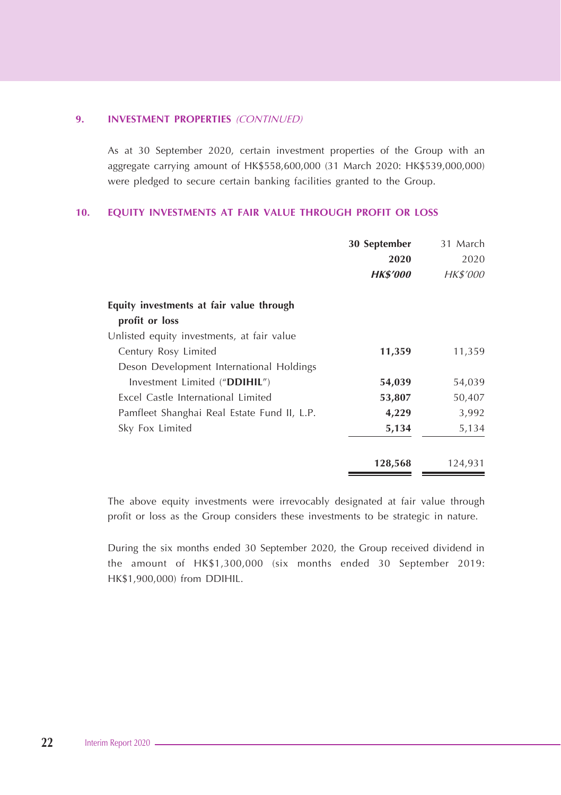#### **9. INVESTMENT PROPERTIES** (CONTINUED)

As at 30 September 2020, certain investment properties of the Group with an aggregate carrying amount of HK\$558,600,000 (31 March 2020: HK\$539,000,000) were pledged to secure certain banking facilities granted to the Group.

#### **10. EQUITY INVESTMENTS AT FAIR VALUE THROUGH PROFIT OR LOSS**

|                                             | 30 September    | 31 March |
|---------------------------------------------|-----------------|----------|
|                                             | 2020            | 2020     |
|                                             | <b>HK\$'000</b> | HK\$'000 |
| Equity investments at fair value through    |                 |          |
| profit or loss                              |                 |          |
| Unlisted equity investments, at fair value  |                 |          |
| Century Rosy Limited                        | 11,359          | 11,359   |
| Deson Development International Holdings    |                 |          |
| Investment Limited ("DDIHIL")               | 54,039          | 54,039   |
| Excel Castle International Limited          | 53,807          | 50,407   |
| Pamfleet Shanghai Real Estate Fund II, L.P. | 4,229           | 3,992    |
| Sky Fox Limited                             | 5,134           | 5,134    |
|                                             | 128,568         | 124,931  |

The above equity investments were irrevocably designated at fair value through profit or loss as the Group considers these investments to be strategic in nature.

During the six months ended 30 September 2020, the Group received dividend in the amount of HK\$1,300,000 (six months ended 30 September 2019: HK\$1,900,000) from DDIHIL.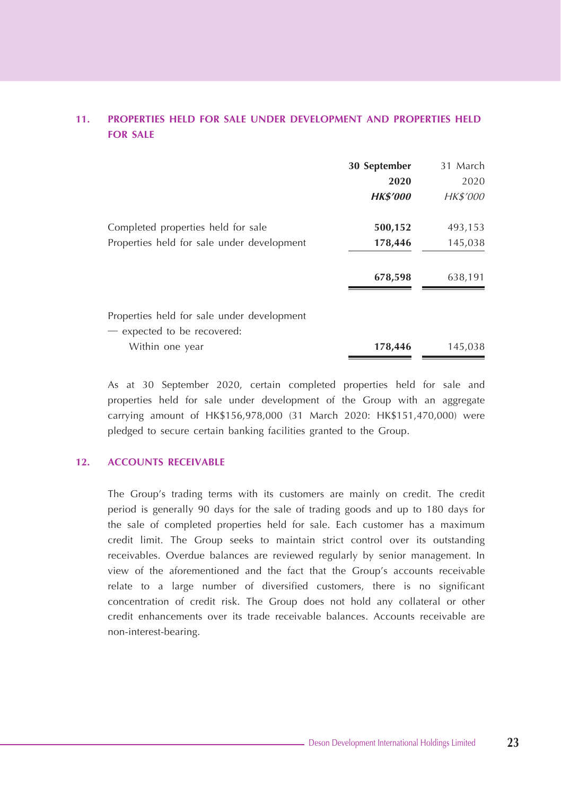## **11. PROPERTIES HELD FOR SALE UNDER DEVELOPMENT AND PROPERTIES HELD FOR SALE**

|                                                | 30 September    | 31 March |
|------------------------------------------------|-----------------|----------|
|                                                | 2020            | 2020     |
|                                                | <b>HK\$'000</b> | HK\$'000 |
| Completed properties held for sale             | 500,152         | 493,153  |
| Properties held for sale under development     | 178,446         | 145,038  |
|                                                | 678,598         | 638,191  |
| Properties held for sale under development     |                 |          |
| - expected to be recovered:<br>Within one year | 178,446         | 145,038  |

As at 30 September 2020, certain completed properties held for sale and properties held for sale under development of the Group with an aggregate carrying amount of HK\$156,978,000 (31 March 2020: HK\$151,470,000) were pledged to secure certain banking facilities granted to the Group.

## **12. ACCOUNTS RECEIVABLE**

The Group's trading terms with its customers are mainly on credit. The credit period is generally 90 days for the sale of trading goods and up to 180 days for the sale of completed properties held for sale. Each customer has a maximum credit limit. The Group seeks to maintain strict control over its outstanding receivables. Overdue balances are reviewed regularly by senior management. In view of the aforementioned and the fact that the Group's accounts receivable relate to a large number of diversified customers, there is no significant concentration of credit risk. The Group does not hold any collateral or other credit enhancements over its trade receivable balances. Accounts receivable are non-interest-bearing.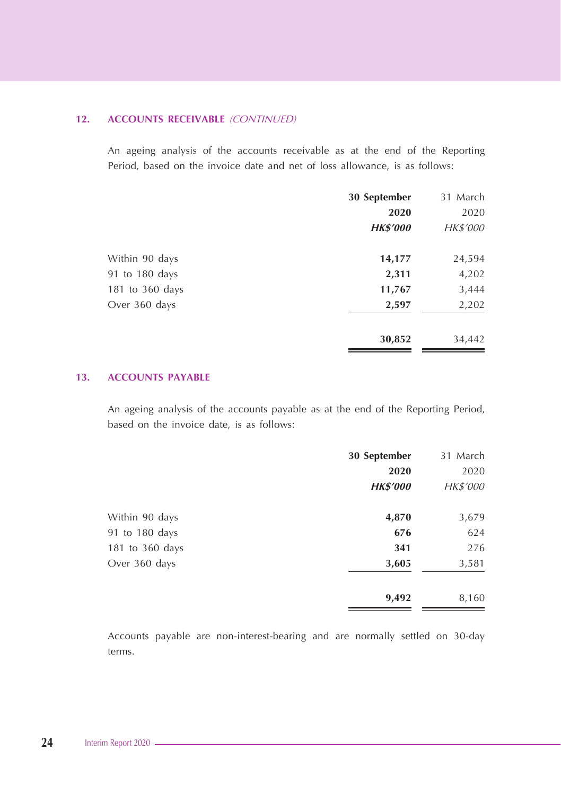#### **12. ACCOUNTS RECEIVABLE** (CONTINUED)

An ageing analysis of the accounts receivable as at the end of the Reporting Period, based on the invoice date and net of loss allowance, is as follows:

|                 | 30 September    | 31 March |
|-----------------|-----------------|----------|
|                 | 2020            | 2020     |
|                 | <b>HK\$'000</b> | HK\$'000 |
| Within 90 days  | 14,177          | 24,594   |
| 91 to 180 days  | 2,311           | 4,202    |
| 181 to 360 days | 11,767          | 3,444    |
| Over 360 days   | 2,597           | 2,202    |
|                 | 30,852          | 34,442   |

## **13. ACCOUNTS PAYABLE**

An ageing analysis of the accounts payable as at the end of the Reporting Period, based on the invoice date, is as follows:

|                 | 30 September    | 31 March        |
|-----------------|-----------------|-----------------|
|                 | 2020            | 2020            |
|                 | <b>HK\$'000</b> | <i>HK\$'000</i> |
| Within 90 days  | 4,870           | 3,679           |
| 91 to 180 days  | 676             | 624             |
| 181 to 360 days | 341             | 276             |
| Over 360 days   | 3,605           | 3,581           |
|                 | 9,492           | 8,160           |

Accounts payable are non-interest-bearing and are normally settled on 30-day terms.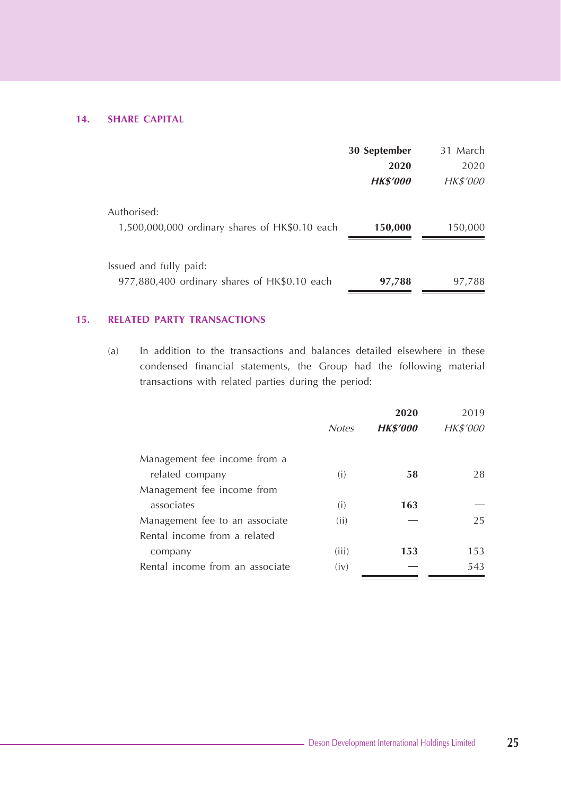## **14. SHARE CAPITAL**

|                                                | 30 September    | 31 March        |
|------------------------------------------------|-----------------|-----------------|
|                                                | 2020            | 2020            |
|                                                | <b>HK\$'000</b> | <i>HK\$'000</i> |
| Authorised:                                    |                 |                 |
| 1,500,000,000 ordinary shares of HK\$0.10 each | 150,000         | 150,000         |
|                                                |                 |                 |
| Issued and fully paid:                         |                 |                 |
| 977,880,400 ordinary shares of HK\$0.10 each   | 97,788          | 97,788          |

## **15. RELATED PARTY TRANSACTIONS**

(a) In addition to the transactions and balances detailed elsewhere in these condensed financial statements, the Group had the following material transactions with related parties during the period:

|                                 |              | 2020            | 2019     |
|---------------------------------|--------------|-----------------|----------|
|                                 | <b>Notes</b> | <b>HK\$'000</b> | HK\$'000 |
| Management fee income from a    |              |                 |          |
| related company                 | (i)          | 58              | 28       |
| Management fee income from      |              |                 |          |
| associates                      | (i)          | 163             |          |
| Management fee to an associate  | (ii)         |                 | 25       |
| Rental income from a related    |              |                 |          |
| company                         | (iii)        | 153             | 153      |
| Rental income from an associate | (iv)         |                 | 543      |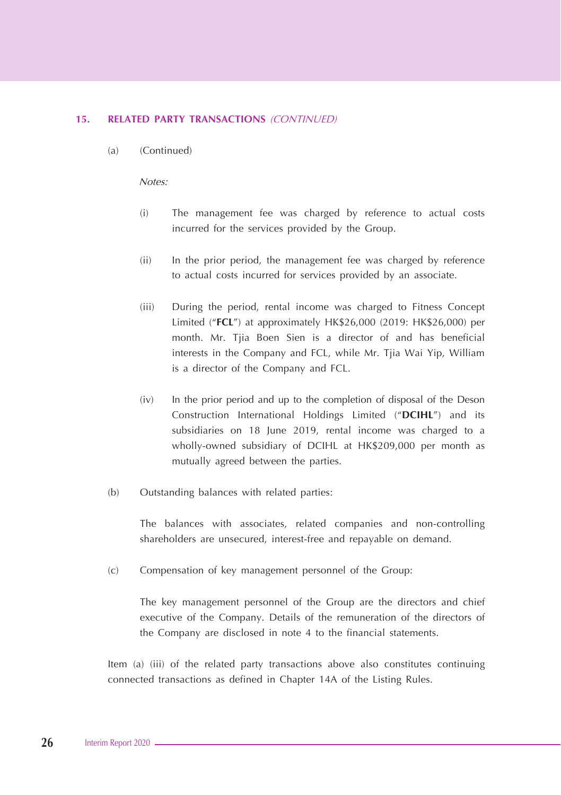#### **15. RELATED PARTY TRANSACTIONS** (CONTINUED)

(a) (Continued)

Notes:

- (i) The management fee was charged by reference to actual costs incurred for the services provided by the Group.
- (ii) In the prior period, the management fee was charged by reference to actual costs incurred for services provided by an associate.
- (iii) During the period, rental income was charged to Fitness Concept Limited ("**FCL**") at approximately HK\$26,000 (2019: HK\$26,000) per month. Mr. Tjia Boen Sien is a director of and has beneficial interests in the Company and FCL, while Mr. Tjia Wai Yip, William is a director of the Company and FCL.
- (iv) In the prior period and up to the completion of disposal of the Deson Construction International Holdings Limited ("**DCIHL**") and its subsidiaries on 18 June 2019, rental income was charged to a wholly-owned subsidiary of DCIHL at HK\$209,000 per month as mutually agreed between the parties.
- (b) Outstanding balances with related parties:

The balances with associates, related companies and non-controlling shareholders are unsecured, interest-free and repayable on demand.

(c) Compensation of key management personnel of the Group:

The key management personnel of the Group are the directors and chief executive of the Company. Details of the remuneration of the directors of the Company are disclosed in note 4 to the financial statements.

Item (a) (iii) of the related party transactions above also constitutes continuing connected transactions as defined in Chapter 14A of the Listing Rules.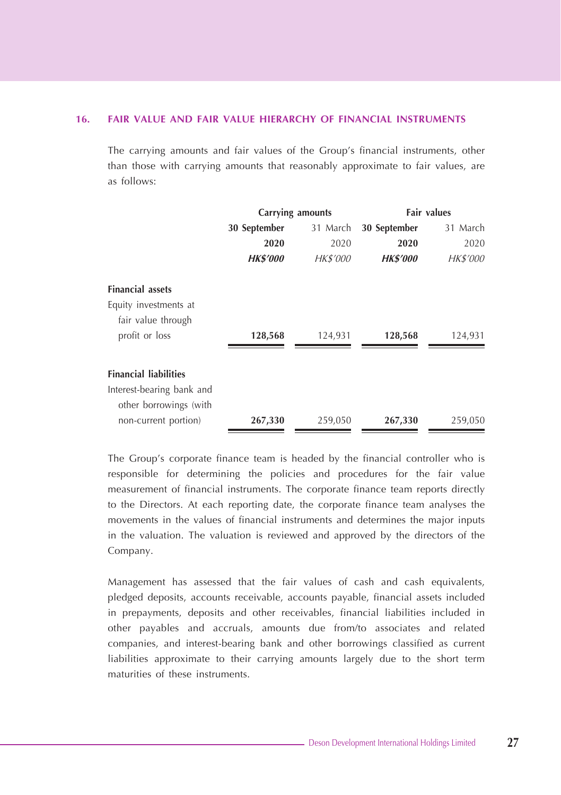#### **16. FAIR VALUE AND FAIR VALUE HIERARCHY OF FINANCIAL INSTRUMENTS**

The carrying amounts and fair values of the Group's financial instruments, other than those with carrying amounts that reasonably approximate to fair values, are as follows:

|                              | Carrying amounts |          | <b>Fair values</b> |          |
|------------------------------|------------------|----------|--------------------|----------|
|                              | 30 September     | 31 March | 30 September       | 31 March |
|                              | 2020             | 2020     | 2020               | 2020     |
|                              | <b>HK\$'000</b>  | HK\$'000 | <b>HK\$'000</b>    | HK\$'000 |
| <b>Financial assets</b>      |                  |          |                    |          |
| Equity investments at        |                  |          |                    |          |
| fair value through           |                  |          |                    |          |
| profit or loss               | 128,568          | 124,931  | 128,568            | 124,931  |
| <b>Financial liabilities</b> |                  |          |                    |          |
| Interest-bearing bank and    |                  |          |                    |          |
| other borrowings (with       |                  |          |                    |          |
| non-current portion)         | 267,330          | 259,050  | 267,330            | 259,050  |

The Group's corporate finance team is headed by the financial controller who is responsible for determining the policies and procedures for the fair value measurement of financial instruments. The corporate finance team reports directly to the Directors. At each reporting date, the corporate finance team analyses the movements in the values of financial instruments and determines the major inputs in the valuation. The valuation is reviewed and approved by the directors of the Company.

Management has assessed that the fair values of cash and cash equivalents, pledged deposits, accounts receivable, accounts payable, financial assets included in prepayments, deposits and other receivables, financial liabilities included in other payables and accruals, amounts due from/to associates and related companies, and interest-bearing bank and other borrowings classified as current liabilities approximate to their carrying amounts largely due to the short term maturities of these instruments.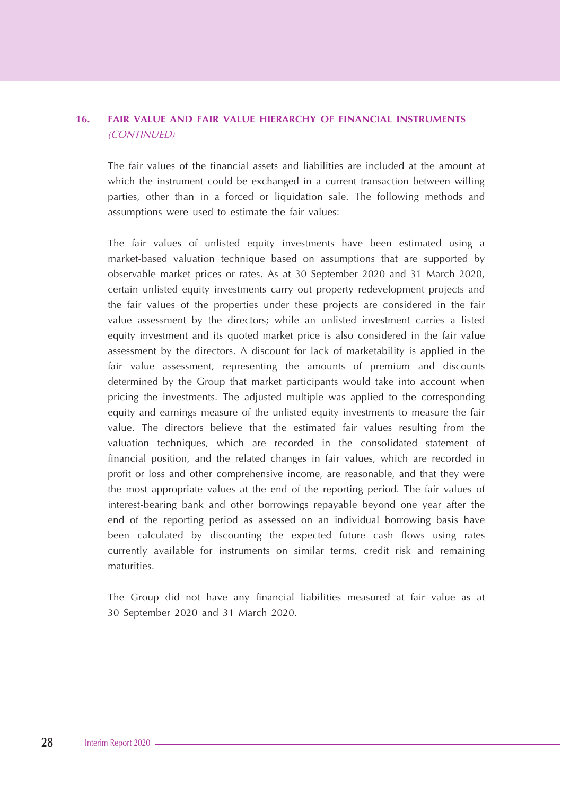## **16. FAIR VALUE AND FAIR VALUE HIERARCHY OF FINANCIAL INSTRUMENTS**  (CONTINUED)

The fair values of the financial assets and liabilities are included at the amount at which the instrument could be exchanged in a current transaction between willing parties, other than in a forced or liquidation sale. The following methods and assumptions were used to estimate the fair values:

The fair values of unlisted equity investments have been estimated using a market-based valuation technique based on assumptions that are supported by observable market prices or rates. As at 30 September 2020 and 31 March 2020, certain unlisted equity investments carry out property redevelopment projects and the fair values of the properties under these projects are considered in the fair value assessment by the directors; while an unlisted investment carries a listed equity investment and its quoted market price is also considered in the fair value assessment by the directors. A discount for lack of marketability is applied in the fair value assessment, representing the amounts of premium and discounts determined by the Group that market participants would take into account when pricing the investments. The adjusted multiple was applied to the corresponding equity and earnings measure of the unlisted equity investments to measure the fair value. The directors believe that the estimated fair values resulting from the valuation techniques, which are recorded in the consolidated statement of financial position, and the related changes in fair values, which are recorded in profit or loss and other comprehensive income, are reasonable, and that they were the most appropriate values at the end of the reporting period. The fair values of interest-bearing bank and other borrowings repayable beyond one year after the end of the reporting period as assessed on an individual borrowing basis have been calculated by discounting the expected future cash flows using rates currently available for instruments on similar terms, credit risk and remaining maturities.

The Group did not have any financial liabilities measured at fair value as at 30 September 2020 and 31 March 2020.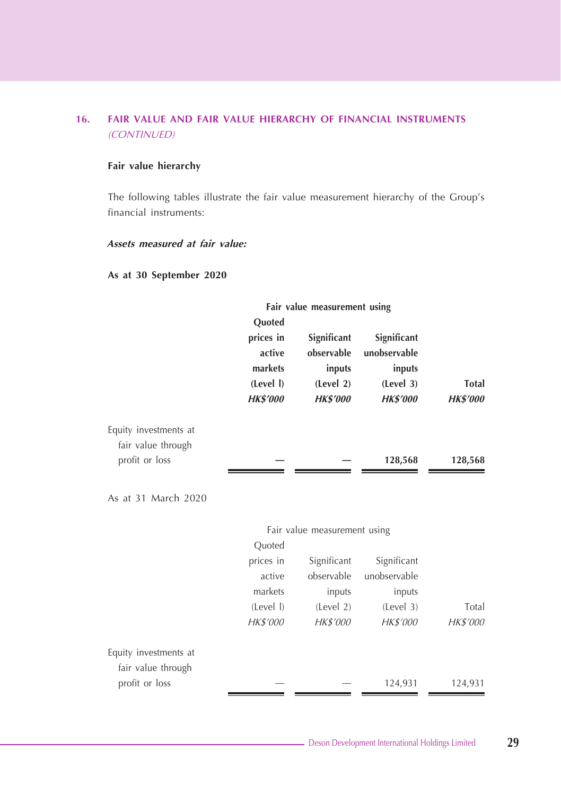## **16. FAIR VALUE AND FAIR VALUE HIERARCHY OF FINANCIAL INSTRUMENTS**  (CONTINUED)

#### **Fair value hierarchy**

The following tables illustrate the fair value measurement hierarchy of the Group's financial instruments:

## **Assets measured at fair value:**

#### **As at 30 September 2020**

|                       | Fair value measurement using                                             |                                                                     |                                                                       |                          |
|-----------------------|--------------------------------------------------------------------------|---------------------------------------------------------------------|-----------------------------------------------------------------------|--------------------------|
|                       | Quoted<br>prices in<br>active<br>markets<br>(Level I)<br><b>HK\$'000</b> | Significant<br>observable<br>inputs<br>(Level 2)<br><b>HK\$'000</b> | Significant<br>unobservable<br>inputs<br>(Level 3)<br><b>HK\$'000</b> | Total<br><b>HK\$'000</b> |
| Equity investments at |                                                                          |                                                                     |                                                                       |                          |
| fair value through    |                                                                          |                                                                     |                                                                       |                          |
| profit or loss        |                                                                          |                                                                     | 128,568                                                               | 128,568                  |
| As at 31 March 2020   |                                                                          |                                                                     |                                                                       |                          |
|                       |                                                                          | Fair value measurement using                                        |                                                                       |                          |
|                       | Quoted                                                                   |                                                                     |                                                                       |                          |
|                       | prices in                                                                | Significant                                                         | Significant                                                           |                          |
|                       | active                                                                   | observable                                                          | unobservable                                                          |                          |
|                       | markets                                                                  | inputs                                                              | inputs                                                                |                          |
|                       | (Level I)                                                                | (Level 2)                                                           | (Level 3)                                                             | Total                    |
|                       | HK\$'000                                                                 | HK\$'000                                                            | HK\$'000                                                              | HK\$'000                 |
| Equity investments at |                                                                          |                                                                     |                                                                       |                          |
| fair value through    |                                                                          |                                                                     |                                                                       |                          |
| profit or loss        |                                                                          |                                                                     | 124,931                                                               | 124,931                  |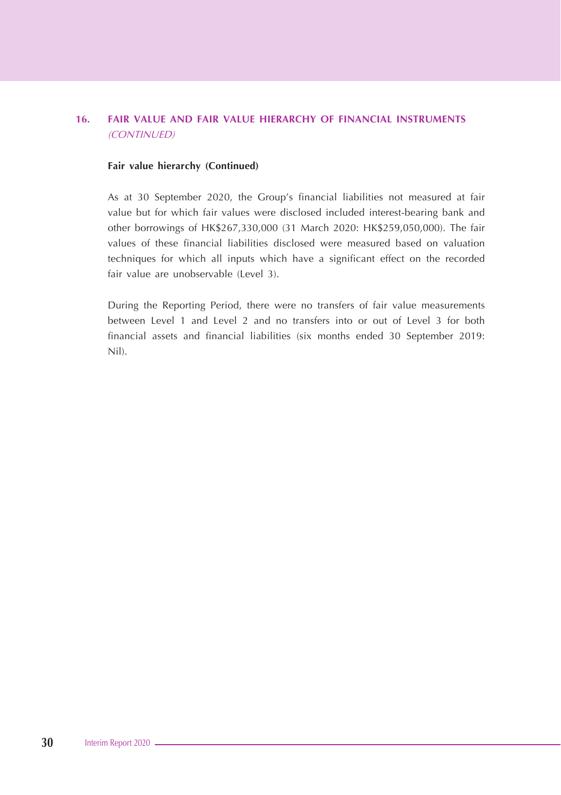## **16. FAIR VALUE AND FAIR VALUE HIERARCHY OF FINANCIAL INSTRUMENTS**  (CONTINUED)

#### **Fair value hierarchy (Continued)**

As at 30 September 2020, the Group's financial liabilities not measured at fair value but for which fair values were disclosed included interest-bearing bank and other borrowings of HK\$267,330,000 (31 March 2020: HK\$259,050,000). The fair values of these financial liabilities disclosed were measured based on valuation techniques for which all inputs which have a significant effect on the recorded fair value are unobservable (Level 3).

During the Reporting Period, there were no transfers of fair value measurements between Level 1 and Level 2 and no transfers into or out of Level 3 for both financial assets and financial liabilities (six months ended 30 September 2019: Nil).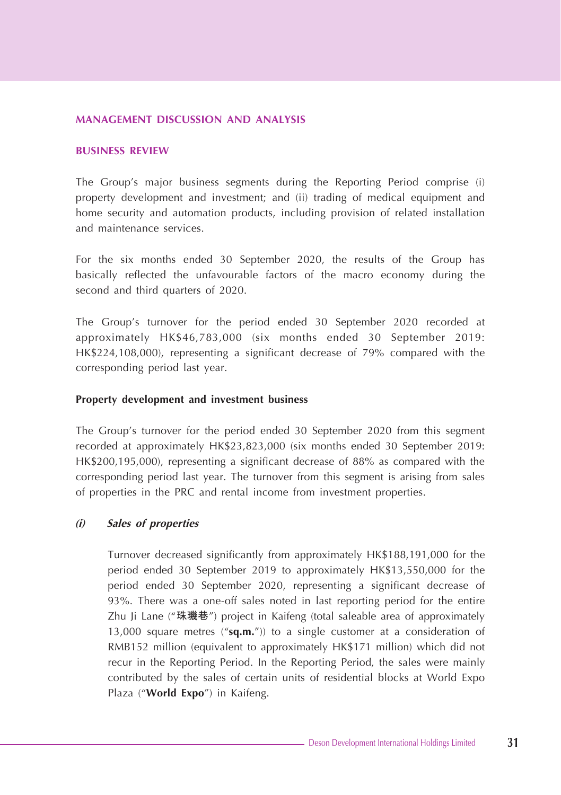#### **MANAGEMENT DISCUSSION AND ANALYSIS**

#### **BUSINESS REVIEW**

The Group's major business segments during the Reporting Period comprise (i) property development and investment; and (ii) trading of medical equipment and home security and automation products, including provision of related installation and maintenance services.

For the six months ended 30 September 2020, the results of the Group has basically reflected the unfavourable factors of the macro economy during the second and third quarters of 2020.

The Group's turnover for the period ended 30 September 2020 recorded at approximately HK\$46,783,000 (six months ended 30 September 2019: HK\$224,108,000), representing a significant decrease of 79% compared with the corresponding period last year.

#### **Property development and investment business**

The Group's turnover for the period ended 30 September 2020 from this segment recorded at approximately HK\$23,823,000 (six months ended 30 September 2019: HK\$200,195,000), representing a significant decrease of 88% as compared with the corresponding period last year. The turnover from this segment is arising from sales of properties in the PRC and rental income from investment properties.

#### **(i) Sales of properties**

Turnover decreased significantly from approximately HK\$188,191,000 for the period ended 30 September 2019 to approximately HK\$13,550,000 for the period ended 30 September 2020, representing a significant decrease of 93%. There was a one-off sales noted in last reporting period for the entire Zhu Ji Lane ("**珠璣巷**") project in Kaifeng (total saleable area of approximately 13,000 square metres ("**sq.m.**")) to a single customer at a consideration of RMB152 million (equivalent to approximately HK\$171 million) which did not recur in the Reporting Period. In the Reporting Period, the sales were mainly contributed by the sales of certain units of residential blocks at World Expo Plaza ("**World Expo**") in Kaifeng.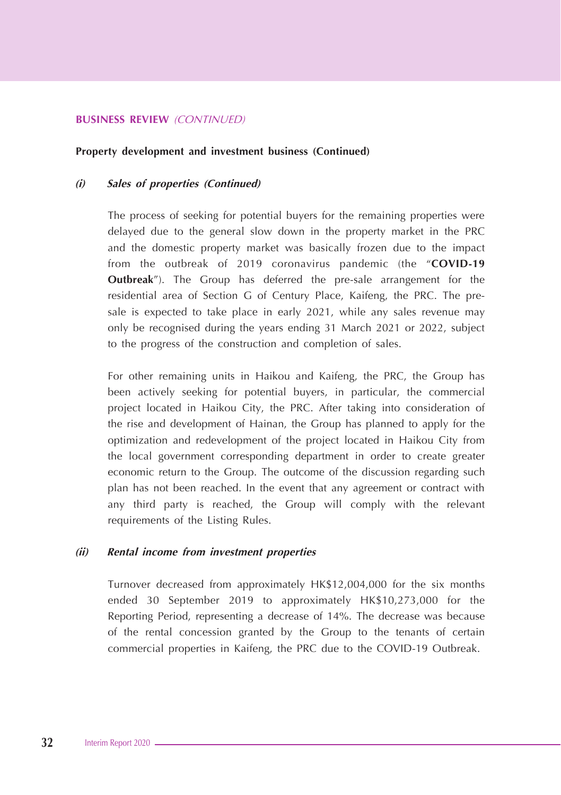#### **BUSINESS REVIEW** (CONTINUED)

#### **Property development and investment business (Continued)**

#### **(i) Sales of properties (Continued)**

The process of seeking for potential buyers for the remaining properties were delayed due to the general slow down in the property market in the PRC and the domestic property market was basically frozen due to the impact from the outbreak of 2019 coronavirus pandemic (the "**COVID-19 Outbreak**"). The Group has deferred the pre-sale arrangement for the residential area of Section G of Century Place, Kaifeng, the PRC. The presale is expected to take place in early 2021, while any sales revenue may only be recognised during the years ending 31 March 2021 or 2022, subject to the progress of the construction and completion of sales.

For other remaining units in Haikou and Kaifeng, the PRC, the Group has been actively seeking for potential buyers, in particular, the commercial project located in Haikou City, the PRC. After taking into consideration of the rise and development of Hainan, the Group has planned to apply for the optimization and redevelopment of the project located in Haikou City from the local government corresponding department in order to create greater economic return to the Group. The outcome of the discussion regarding such plan has not been reached. In the event that any agreement or contract with any third party is reached, the Group will comply with the relevant requirements of the Listing Rules.

#### **(ii) Rental income from investment properties**

Turnover decreased from approximately HK\$12,004,000 for the six months ended 30 September 2019 to approximately HK\$10,273,000 for the Reporting Period, representing a decrease of 14%. The decrease was because of the rental concession granted by the Group to the tenants of certain commercial properties in Kaifeng, the PRC due to the COVID-19 Outbreak.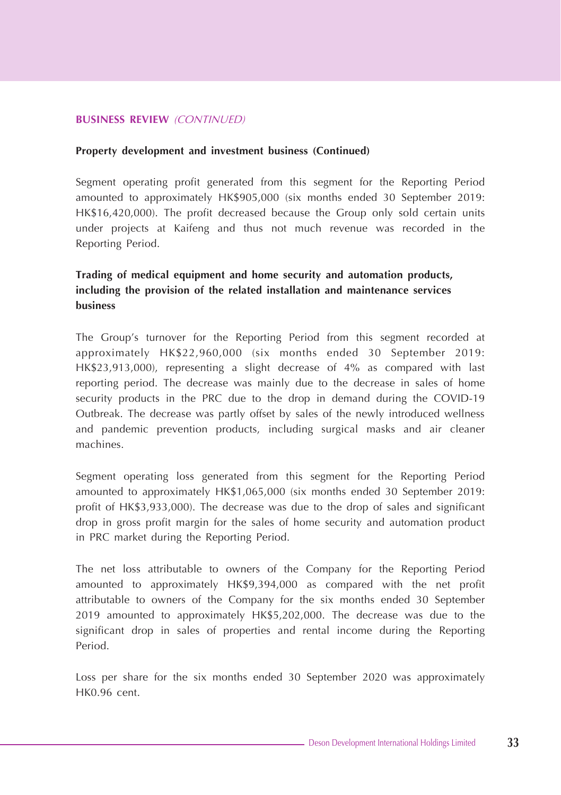#### **BUSINESS REVIEW** (CONTINUED)

#### **Property development and investment business (Continued)**

Segment operating profit generated from this segment for the Reporting Period amounted to approximately HK\$905,000 (six months ended 30 September 2019: HK\$16,420,000). The profit decreased because the Group only sold certain units under projects at Kaifeng and thus not much revenue was recorded in the Reporting Period.

## **Trading of medical equipment and home security and automation products, including the provision of the related installation and maintenance services business**

The Group's turnover for the Reporting Period from this segment recorded at approximately HK\$22,960,000 (six months ended 30 September 2019: HK\$23,913,000), representing a slight decrease of 4% as compared with last reporting period. The decrease was mainly due to the decrease in sales of home security products in the PRC due to the drop in demand during the COVID-19 Outbreak. The decrease was partly offset by sales of the newly introduced wellness and pandemic prevention products, including surgical masks and air cleaner machines.

Segment operating loss generated from this segment for the Reporting Period amounted to approximately HK\$1,065,000 (six months ended 30 September 2019: profit of HK\$3,933,000). The decrease was due to the drop of sales and significant drop in gross profit margin for the sales of home security and automation product in PRC market during the Reporting Period.

The net loss attributable to owners of the Company for the Reporting Period amounted to approximately HK\$9,394,000 as compared with the net profit attributable to owners of the Company for the six months ended 30 September 2019 amounted to approximately HK\$5,202,000. The decrease was due to the significant drop in sales of properties and rental income during the Reporting Period.

Loss per share for the six months ended 30 September 2020 was approximately HK0.96 cent.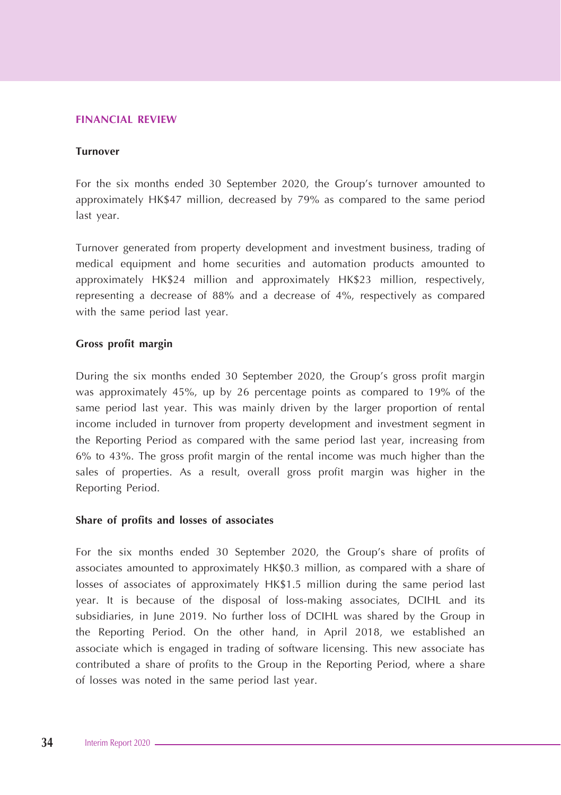#### **FINANCIAL REVIEW**

#### **Turnover**

For the six months ended 30 September 2020, the Group's turnover amounted to approximately HK\$47 million, decreased by 79% as compared to the same period last year.

Turnover generated from property development and investment business, trading of medical equipment and home securities and automation products amounted to approximately HK\$24 million and approximately HK\$23 million, respectively, representing a decrease of 88% and a decrease of 4%, respectively as compared with the same period last year.

#### **Gross profit margin**

During the six months ended 30 September 2020, the Group's gross profit margin was approximately 45%, up by 26 percentage points as compared to 19% of the same period last year. This was mainly driven by the larger proportion of rental income included in turnover from property development and investment segment in the Reporting Period as compared with the same period last year, increasing from 6% to 43%. The gross profit margin of the rental income was much higher than the sales of properties. As a result, overall gross profit margin was higher in the Reporting Period.

#### **Share of profits and losses of associates**

For the six months ended 30 September 2020, the Group's share of profits of associates amounted to approximately HK\$0.3 million, as compared with a share of losses of associates of approximately HK\$1.5 million during the same period last year. It is because of the disposal of loss-making associates, DCIHL and its subsidiaries, in June 2019. No further loss of DCIHL was shared by the Group in the Reporting Period. On the other hand, in April 2018, we established an associate which is engaged in trading of software licensing. This new associate has contributed a share of profits to the Group in the Reporting Period, where a share of losses was noted in the same period last year.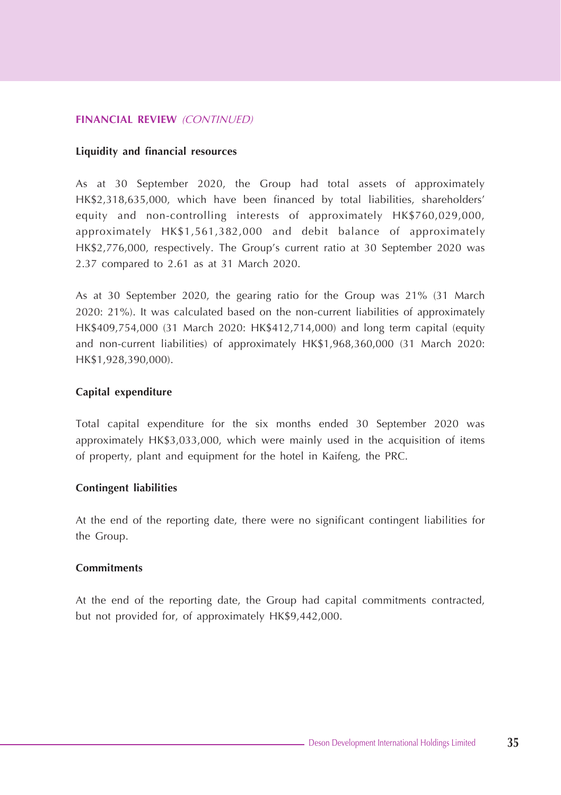#### **FINANCIAL REVIEW** (CONTINUED)

#### **Liquidity and financial resources**

As at 30 September 2020, the Group had total assets of approximately HK\$2,318,635,000, which have been financed by total liabilities, shareholders' equity and non-controlling interests of approximately HK\$760,029,000, approximately HK\$1,561,382,000 and debit balance of approximately HK\$2,776,000, respectively. The Group's current ratio at 30 September 2020 was 2.37 compared to 2.61 as at 31 March 2020.

As at 30 September 2020, the gearing ratio for the Group was 21% (31 March 2020: 21%). It was calculated based on the non-current liabilities of approximately HK\$409,754,000 (31 March 2020: HK\$412,714,000) and long term capital (equity and non-current liabilities) of approximately HK\$1,968,360,000 (31 March 2020: HK\$1,928,390,000).

#### **Capital expenditure**

Total capital expenditure for the six months ended 30 September 2020 was approximately HK\$3,033,000, which were mainly used in the acquisition of items of property, plant and equipment for the hotel in Kaifeng, the PRC.

#### **Contingent liabilities**

At the end of the reporting date, there were no significant contingent liabilities for the Group.

#### **Commitments**

At the end of the reporting date, the Group had capital commitments contracted, but not provided for, of approximately HK\$9,442,000.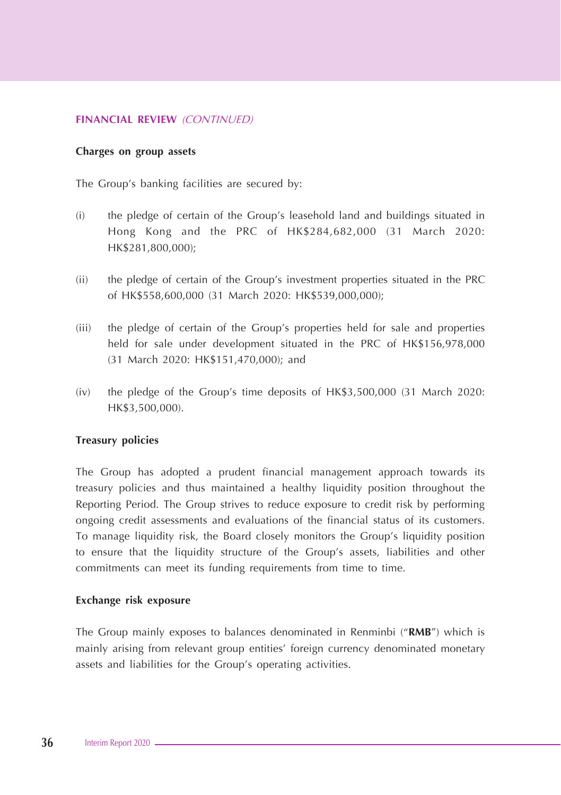#### **FINANCIAL REVIEW** (CONTINUED)

#### **Charges on group assets**

The Group's banking facilities are secured by:

- (i) the pledge of certain of the Group's leasehold land and buildings situated in Hong Kong and the PRC of HK\$284,682,000 (31 March 2020: HK\$281,800,000);
- (ii) the pledge of certain of the Group's investment properties situated in the PRC of HK\$558,600,000 (31 March 2020: HK\$539,000,000);
- (iii) the pledge of certain of the Group's properties held for sale and properties held for sale under development situated in the PRC of HK\$156,978,000 (31 March 2020: HK\$151,470,000); and
- (iv) the pledge of the Group's time deposits of HK\$3,500,000 (31 March 2020: HK\$3,500,000).

#### **Treasury policies**

The Group has adopted a prudent financial management approach towards its treasury policies and thus maintained a healthy liquidity position throughout the Reporting Period. The Group strives to reduce exposure to credit risk by performing ongoing credit assessments and evaluations of the financial status of its customers. To manage liquidity risk, the Board closely monitors the Group's liquidity position to ensure that the liquidity structure of the Group's assets, liabilities and other commitments can meet its funding requirements from time to time.

#### **Exchange risk exposure**

The Group mainly exposes to balances denominated in Renminbi ("**RMB**") which is mainly arising from relevant group entities' foreign currency denominated monetary assets and liabilities for the Group's operating activities.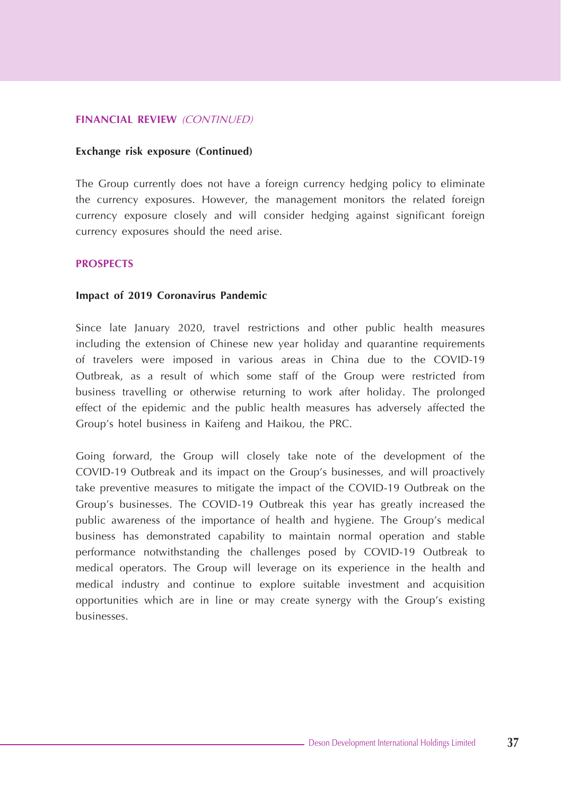#### **FINANCIAL REVIEW** (CONTINUED)

#### **Exchange risk exposure (Continued)**

The Group currently does not have a foreign currency hedging policy to eliminate the currency exposures. However, the management monitors the related foreign currency exposure closely and will consider hedging against significant foreign currency exposures should the need arise.

#### **PROSPECTS**

#### **Impact of 2019 Coronavirus Pandemic**

Since late January 2020, travel restrictions and other public health measures including the extension of Chinese new year holiday and quarantine requirements of travelers were imposed in various areas in China due to the COVID-19 Outbreak, as a result of which some staff of the Group were restricted from business travelling or otherwise returning to work after holiday. The prolonged effect of the epidemic and the public health measures has adversely affected the Group's hotel business in Kaifeng and Haikou, the PRC.

Going forward, the Group will closely take note of the development of the COVID-19 Outbreak and its impact on the Group's businesses, and will proactively take preventive measures to mitigate the impact of the COVID-19 Outbreak on the Group's businesses. The COVID-19 Outbreak this year has greatly increased the public awareness of the importance of health and hygiene. The Group's medical business has demonstrated capability to maintain normal operation and stable performance notwithstanding the challenges posed by COVID-19 Outbreak to medical operators. The Group will leverage on its experience in the health and medical industry and continue to explore suitable investment and acquisition opportunities which are in line or may create synergy with the Group's existing businesses.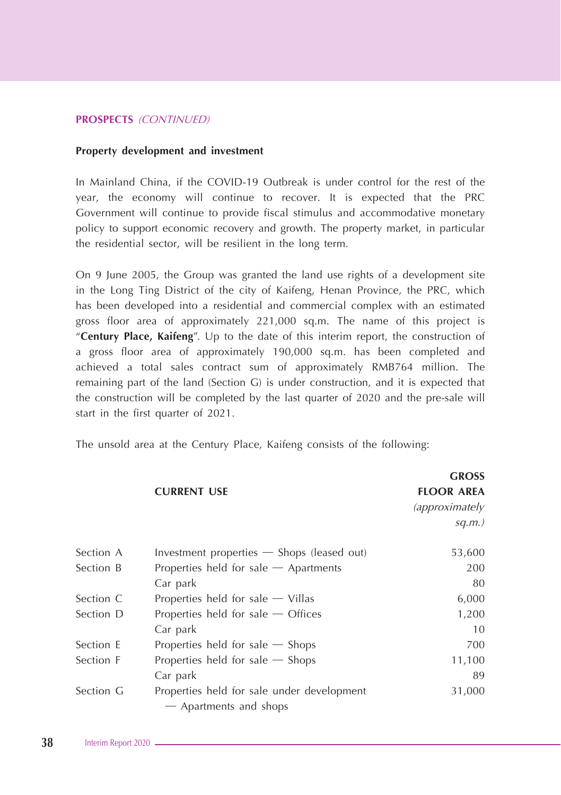#### **Property development and investment**

In Mainland China, if the COVID-19 Outbreak is under control for the rest of the year, the economy will continue to recover. It is expected that the PRC Government will continue to provide fiscal stimulus and accommodative monetary policy to support economic recovery and growth. The property market, in particular the residential sector, will be resilient in the long term.

On 9 June 2005, the Group was granted the land use rights of a development site in the Long Ting District of the city of Kaifeng, Henan Province, the PRC, which has been developed into a residential and commercial complex with an estimated gross floor area of approximately 221,000 sq.m. The name of this project is "**Century Place, Kaifeng**". Up to the date of this interim report, the construction of a gross floor area of approximately 190,000 sq.m. has been completed and achieved a total sales contract sum of approximately RMB764 million. The remaining part of the land (Section G) is under construction, and it is expected that the construction will be completed by the last quarter of 2020 and the pre-sale will start in the first quarter of 2021.

The unsold area at the Century Place, Kaifeng consists of the following:

|           |                                                                      | <b>GROSS</b>          |
|-----------|----------------------------------------------------------------------|-----------------------|
|           | <b>CURRENT USE</b>                                                   | <b>FLOOR AREA</b>     |
|           |                                                                      | <i>(approximately</i> |
|           |                                                                      | $sq.m.$ )             |
| Section A | Investment properties $-$ Shops (leased out)                         | 53,600                |
| Section B | Properties held for sale $-$ Apartments                              | 200                   |
|           | Car park                                                             | 80                    |
| Section C | Properties held for sale $-$ Villas                                  | 6,000                 |
| Section D | Properties held for sale $-$ Offices                                 | 1,200                 |
|           | Car park                                                             | 10                    |
| Section E | Properties held for sale $-$ Shops                                   | 700                   |
| Section F | Properties held for sale $-$ Shops                                   | 11,100                |
|           | Car park                                                             | 89                    |
| Section G | Properties held for sale under development<br>- Apartments and shops | 31,000                |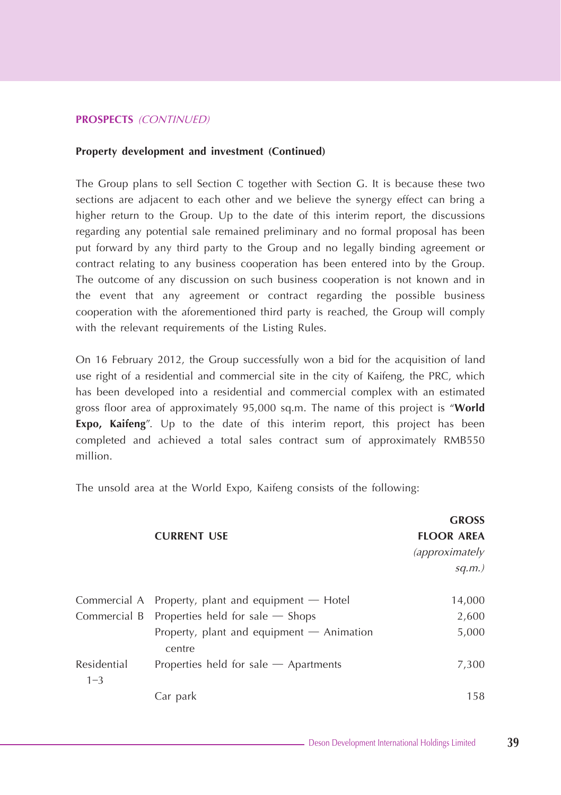#### **Property development and investment (Continued)**

The Group plans to sell Section C together with Section G. It is because these two sections are adjacent to each other and we believe the synergy effect can bring a higher return to the Group. Up to the date of this interim report, the discussions regarding any potential sale remained preliminary and no formal proposal has been put forward by any third party to the Group and no legally binding agreement or contract relating to any business cooperation has been entered into by the Group. The outcome of any discussion on such business cooperation is not known and in the event that any agreement or contract regarding the possible business cooperation with the aforementioned third party is reached, the Group will comply with the relevant requirements of the Listing Rules.

On 16 February 2012, the Group successfully won a bid for the acquisition of land use right of a residential and commercial site in the city of Kaifeng, the PRC, which has been developed into a residential and commercial complex with an estimated gross floor area of approximately 95,000 sq.m. The name of this project is "**World Expo, Kaifeng**". Up to the date of this interim report, this project has been completed and achieved a total sales contract sum of approximately RMB550 million.

The unsold area at the World Expo, Kaifeng consists of the following:

|                        |                                                       | <b>GROSS</b>          |
|------------------------|-------------------------------------------------------|-----------------------|
|                        | <b>CURRENT USE</b>                                    | <b>FLOOR AREA</b>     |
|                        |                                                       | <i>(approximately</i> |
|                        |                                                       | $sq.m.$ )             |
|                        | Commercial A Property, plant and equipment $-$ Hotel  | 14,000                |
|                        | Commercial B Properties held for sale $-$ Shops       | 2,600                 |
|                        | Property, plant and equipment $-$ Animation<br>centre | 5,000                 |
| Residential<br>$1 - 3$ | Properties held for sale $-$ Apartments               | 7,300                 |
|                        | Car park                                              | 158                   |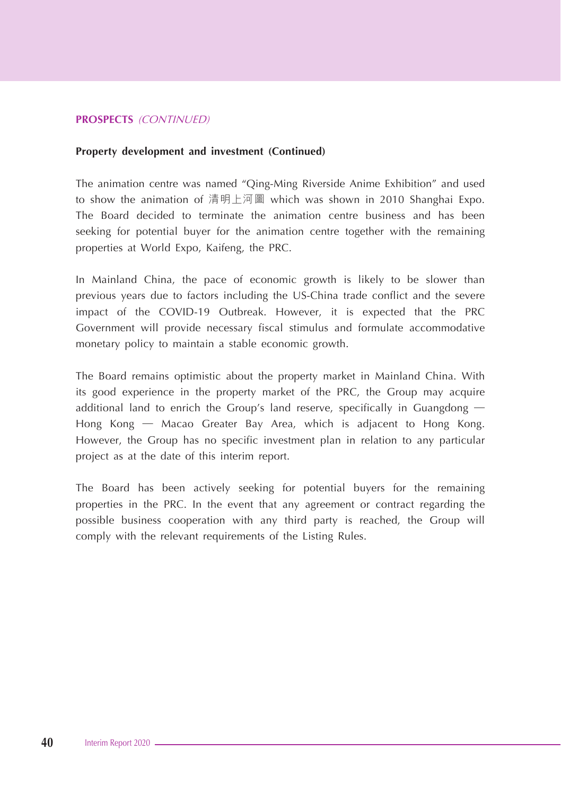#### **Property development and investment (Continued)**

The animation centre was named "Qing-Ming Riverside Anime Exhibition" and used to show the animation of 清明上河圖 which was shown in 2010 Shanghai Expo. The Board decided to terminate the animation centre business and has been seeking for potential buyer for the animation centre together with the remaining properties at World Expo, Kaifeng, the PRC.

In Mainland China, the pace of economic growth is likely to be slower than previous years due to factors including the US-China trade conflict and the severe impact of the COVID-19 Outbreak. However, it is expected that the PRC Government will provide necessary fiscal stimulus and formulate accommodative monetary policy to maintain a stable economic growth.

The Board remains optimistic about the property market in Mainland China. With its good experience in the property market of the PRC, the Group may acquire additional land to enrich the Group's land reserve, specifically in Guangdong — Hong Kong — Macao Greater Bay Area, which is adjacent to Hong Kong. However, the Group has no specific investment plan in relation to any particular project as at the date of this interim report.

The Board has been actively seeking for potential buyers for the remaining properties in the PRC. In the event that any agreement or contract regarding the possible business cooperation with any third party is reached, the Group will comply with the relevant requirements of the Listing Rules.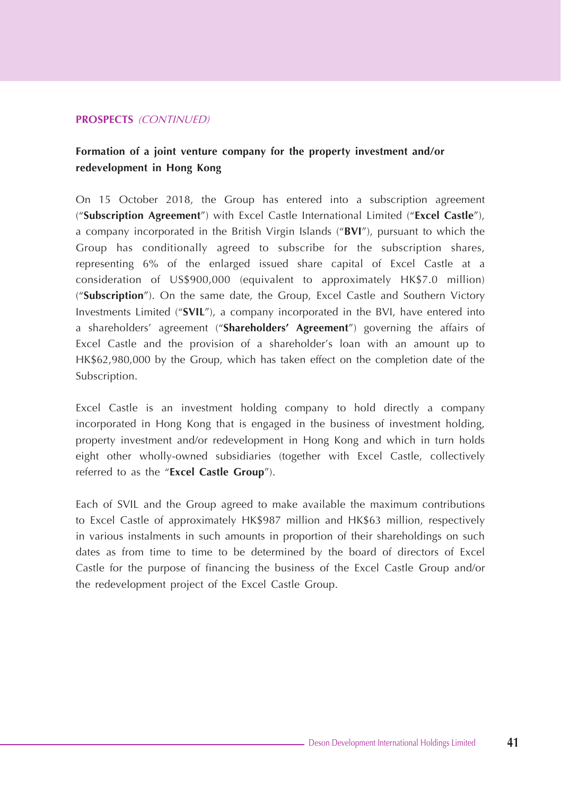## **Formation of a joint venture company for the property investment and/or redevelopment in Hong Kong**

On 15 October 2018, the Group has entered into a subscription agreement ("**Subscription Agreement**") with Excel Castle International Limited ("**Excel Castle**"), a company incorporated in the British Virgin Islands ("**BVI**"), pursuant to which the Group has conditionally agreed to subscribe for the subscription shares, representing 6% of the enlarged issued share capital of Excel Castle at a consideration of US\$900,000 (equivalent to approximately HK\$7.0 million) ("**Subscription**"). On the same date, the Group, Excel Castle and Southern Victory Investments Limited ("**SVIL**"), a company incorporated in the BVI, have entered into a shareholders' agreement ("**Shareholders' Agreement**") governing the affairs of Excel Castle and the provision of a shareholder's loan with an amount up to HK\$62,980,000 by the Group, which has taken effect on the completion date of the Subscription.

Excel Castle is an investment holding company to hold directly a company incorporated in Hong Kong that is engaged in the business of investment holding, property investment and/or redevelopment in Hong Kong and which in turn holds eight other wholly-owned subsidiaries (together with Excel Castle, collectively referred to as the "**Excel Castle Group**").

Each of SVIL and the Group agreed to make available the maximum contributions to Excel Castle of approximately HK\$987 million and HK\$63 million, respectively in various instalments in such amounts in proportion of their shareholdings on such dates as from time to time to be determined by the board of directors of Excel Castle for the purpose of financing the business of the Excel Castle Group and/or the redevelopment project of the Excel Castle Group.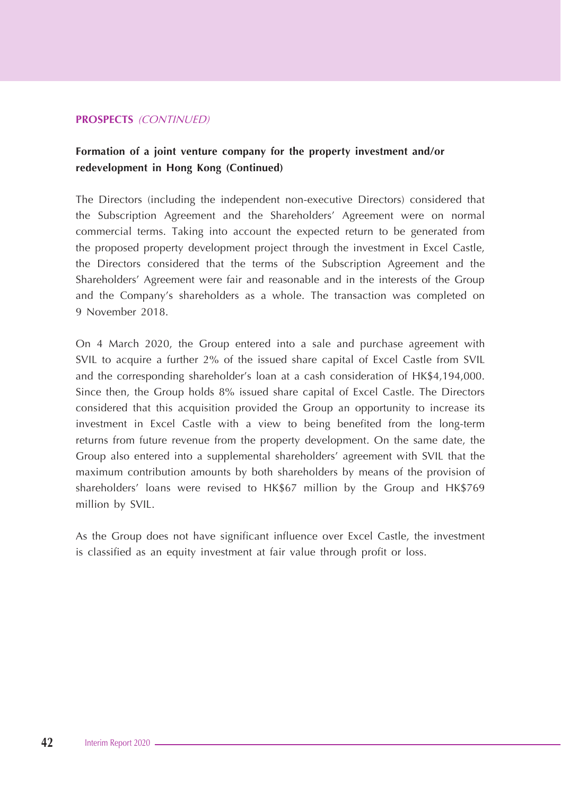## **Formation of a joint venture company for the property investment and/or redevelopment in Hong Kong (Continued)**

The Directors (including the independent non-executive Directors) considered that the Subscription Agreement and the Shareholders' Agreement were on normal commercial terms. Taking into account the expected return to be generated from the proposed property development project through the investment in Excel Castle, the Directors considered that the terms of the Subscription Agreement and the Shareholders' Agreement were fair and reasonable and in the interests of the Group and the Company's shareholders as a whole. The transaction was completed on 9 November 2018.

On 4 March 2020, the Group entered into a sale and purchase agreement with SVIL to acquire a further 2% of the issued share capital of Excel Castle from SVIL and the corresponding shareholder's loan at a cash consideration of HK\$4,194,000. Since then, the Group holds 8% issued share capital of Excel Castle. The Directors considered that this acquisition provided the Group an opportunity to increase its investment in Excel Castle with a view to being benefited from the long-term returns from future revenue from the property development. On the same date, the Group also entered into a supplemental shareholders' agreement with SVIL that the maximum contribution amounts by both shareholders by means of the provision of shareholders' loans were revised to HK\$67 million by the Group and HK\$769 million by SVIL.

As the Group does not have significant influence over Excel Castle, the investment is classified as an equity investment at fair value through profit or loss.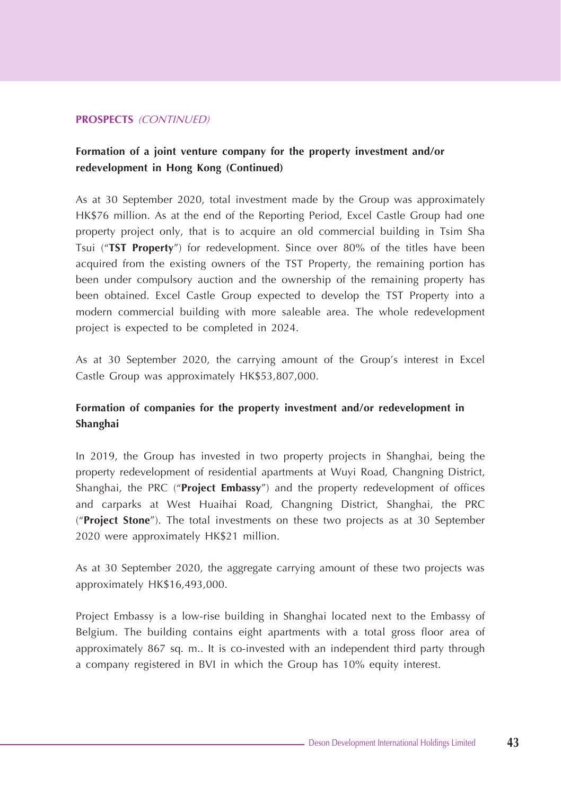## **Formation of a joint venture company for the property investment and/or redevelopment in Hong Kong (Continued)**

As at 30 September 2020, total investment made by the Group was approximately HK\$76 million. As at the end of the Reporting Period, Excel Castle Group had one property project only, that is to acquire an old commercial building in Tsim Sha Tsui ("**TST Property**") for redevelopment. Since over 80% of the titles have been acquired from the existing owners of the TST Property, the remaining portion has been under compulsory auction and the ownership of the remaining property has been obtained. Excel Castle Group expected to develop the TST Property into a modern commercial building with more saleable area. The whole redevelopment project is expected to be completed in 2024.

As at 30 September 2020, the carrying amount of the Group's interest in Excel Castle Group was approximately HK\$53,807,000.

## **Formation of companies for the property investment and/or redevelopment in Shanghai**

In 2019, the Group has invested in two property projects in Shanghai, being the property redevelopment of residential apartments at Wuyi Road, Changning District, Shanghai, the PRC ("**Project Embassy**") and the property redevelopment of offices and carparks at West Huaihai Road, Changning District, Shanghai, the PRC ("**Project Stone**"). The total investments on these two projects as at 30 September 2020 were approximately HK\$21 million.

As at 30 September 2020, the aggregate carrying amount of these two projects was approximately HK\$16,493,000.

Project Embassy is a low-rise building in Shanghai located next to the Embassy of Belgium. The building contains eight apartments with a total gross floor area of approximately 867 sq. m.. It is co-invested with an independent third party through a company registered in BVI in which the Group has 10% equity interest.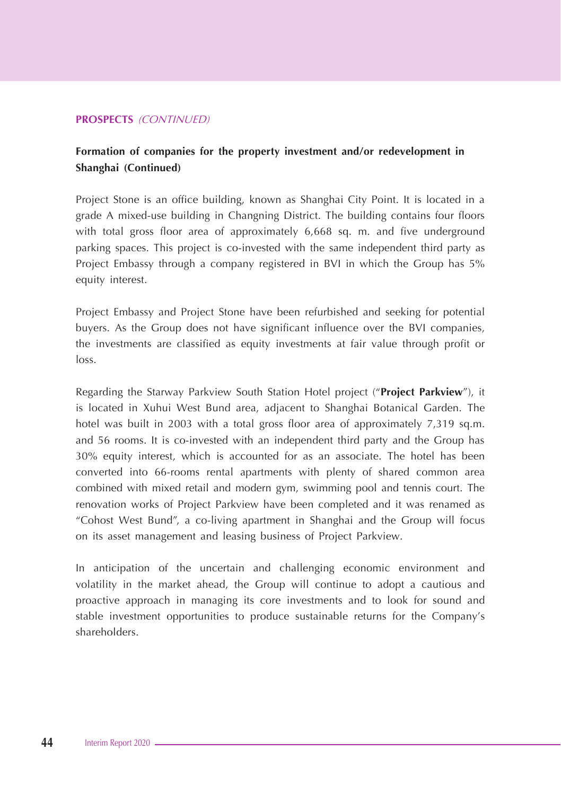## **Formation of companies for the property investment and/or redevelopment in Shanghai (Continued)**

Project Stone is an office building, known as Shanghai City Point. It is located in a grade A mixed-use building in Changning District. The building contains four floors with total gross floor area of approximately 6,668 sq. m. and five underground parking spaces. This project is co-invested with the same independent third party as Project Embassy through a company registered in BVI in which the Group has 5% equity interest.

Project Embassy and Project Stone have been refurbished and seeking for potential buyers. As the Group does not have significant influence over the BVI companies, the investments are classified as equity investments at fair value through profit or loss.

Regarding the Starway Parkview South Station Hotel project ("**Project Parkview**"), it is located in Xuhui West Bund area, adjacent to Shanghai Botanical Garden. The hotel was built in 2003 with a total gross floor area of approximately 7,319 sq.m. and 56 rooms. It is co-invested with an independent third party and the Group has 30% equity interest, which is accounted for as an associate. The hotel has been converted into 66-rooms rental apartments with plenty of shared common area combined with mixed retail and modern gym, swimming pool and tennis court. The renovation works of Project Parkview have been completed and it was renamed as "Cohost West Bund", a co-living apartment in Shanghai and the Group will focus on its asset management and leasing business of Project Parkview.

In anticipation of the uncertain and challenging economic environment and volatility in the market ahead, the Group will continue to adopt a cautious and proactive approach in managing its core investments and to look for sound and stable investment opportunities to produce sustainable returns for the Company's shareholders.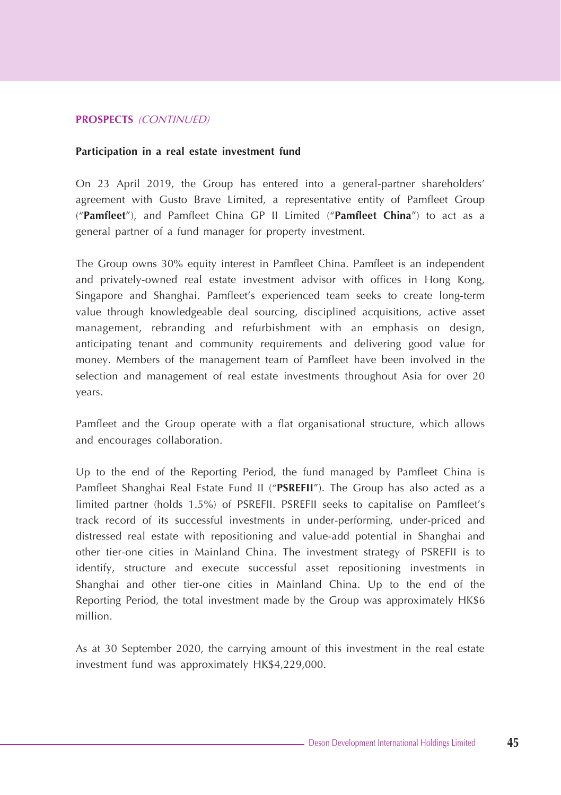#### **Participation in a real estate investment fund**

On 23 April 2019, the Group has entered into a general-partner shareholders' agreement with Gusto Brave Limited, a representative entity of Pamfleet Group ("**Pamfleet**"), and Pamfleet China GP II Limited ("**Pamfleet China**") to act as a general partner of a fund manager for property investment.

The Group owns 30% equity interest in Pamfleet China. Pamfleet is an independent and privately-owned real estate investment advisor with offices in Hong Kong, Singapore and Shanghai. Pamfleet's experienced team seeks to create long-term value through knowledgeable deal sourcing, disciplined acquisitions, active asset management, rebranding and refurbishment with an emphasis on design, anticipating tenant and community requirements and delivering good value for money. Members of the management team of Pamfleet have been involved in the selection and management of real estate investments throughout Asia for over 20 years.

Pamfleet and the Group operate with a flat organisational structure, which allows and encourages collaboration.

Up to the end of the Reporting Period, the fund managed by Pamfleet China is Pamfleet Shanghai Real Estate Fund II ("**PSREFII**"). The Group has also acted as a limited partner (holds 1.5%) of PSREFII. PSREFII seeks to capitalise on Pamfleet's track record of its successful investments in under-performing, under-priced and distressed real estate with repositioning and value-add potential in Shanghai and other tier-one cities in Mainland China. The investment strategy of PSREFII is to identify, structure and execute successful asset repositioning investments in Shanghai and other tier-one cities in Mainland China. Up to the end of the Reporting Period, the total investment made by the Group was approximately HK\$6 million.

As at 30 September 2020, the carrying amount of this investment in the real estate investment fund was approximately HK\$4,229,000.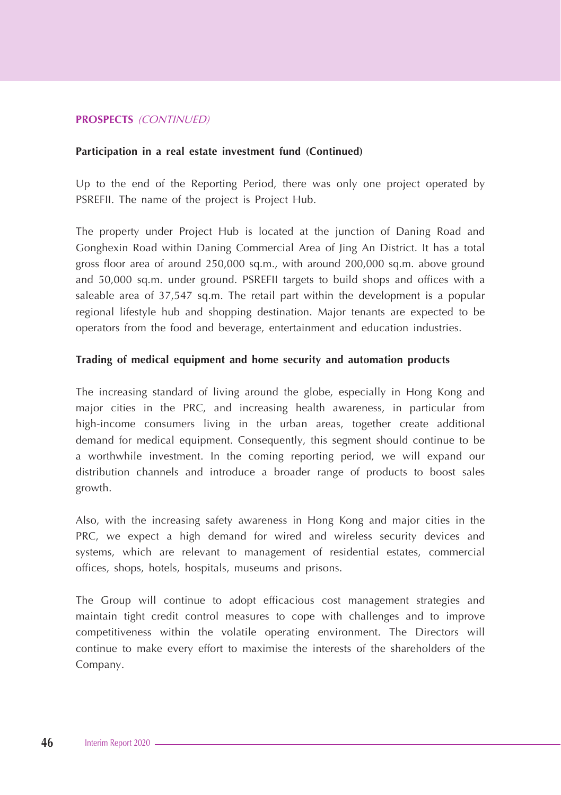#### **Participation in a real estate investment fund (Continued)**

Up to the end of the Reporting Period, there was only one project operated by PSREFII. The name of the project is Project Hub.

The property under Project Hub is located at the junction of Daning Road and Gonghexin Road within Daning Commercial Area of Jing An District. It has a total gross floor area of around 250,000 sq.m., with around 200,000 sq.m. above ground and 50,000 sq.m. under ground. PSREFII targets to build shops and offices with a saleable area of 37,547 sq.m. The retail part within the development is a popular regional lifestyle hub and shopping destination. Major tenants are expected to be operators from the food and beverage, entertainment and education industries.

#### **Trading of medical equipment and home security and automation products**

The increasing standard of living around the globe, especially in Hong Kong and major cities in the PRC, and increasing health awareness, in particular from high-income consumers living in the urban areas, together create additional demand for medical equipment. Consequently, this segment should continue to be a worthwhile investment. In the coming reporting period, we will expand our distribution channels and introduce a broader range of products to boost sales growth.

Also, with the increasing safety awareness in Hong Kong and major cities in the PRC, we expect a high demand for wired and wireless security devices and systems, which are relevant to management of residential estates, commercial offices, shops, hotels, hospitals, museums and prisons.

The Group will continue to adopt efficacious cost management strategies and maintain tight credit control measures to cope with challenges and to improve competitiveness within the volatile operating environment. The Directors will continue to make every effort to maximise the interests of the shareholders of the Company.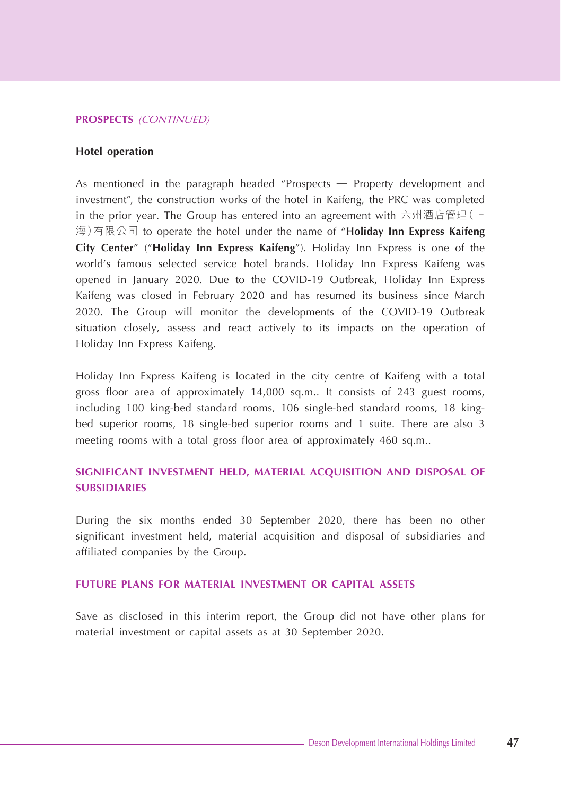#### **Hotel operation**

As mentioned in the paragraph headed "Prospects — Property development and investment", the construction works of the hotel in Kaifeng, the PRC was completed in the prior year. The Group has entered into an agreement with 六州酒店管理(上 海)有限公司 to operate the hotel under the name of "**Holiday Inn Express Kaifeng City Center**" ("**Holiday Inn Express Kaifeng**"). Holiday Inn Express is one of the world's famous selected service hotel brands. Holiday Inn Express Kaifeng was opened in January 2020. Due to the COVID-19 Outbreak, Holiday Inn Express Kaifeng was closed in February 2020 and has resumed its business since March 2020. The Group will monitor the developments of the COVID-19 Outbreak situation closely, assess and react actively to its impacts on the operation of Holiday Inn Express Kaifeng.

Holiday Inn Express Kaifeng is located in the city centre of Kaifeng with a total gross floor area of approximately 14,000 sq.m.. It consists of 243 guest rooms, including 100 king-bed standard rooms, 106 single-bed standard rooms, 18 kingbed superior rooms, 18 single-bed superior rooms and 1 suite. There are also 3 meeting rooms with a total gross floor area of approximately 460 sq.m..

## **SIGNIFICANT INVESTMENT HELD, MATERIAL ACQUISITION AND DISPOSAL OF SUBSIDIARIES**

During the six months ended 30 September 2020, there has been no other significant investment held, material acquisition and disposal of subsidiaries and affiliated companies by the Group.

#### **FUTURE PLANS FOR MATERIAL INVESTMENT OR CAPITAL ASSETS**

Save as disclosed in this interim report, the Group did not have other plans for material investment or capital assets as at 30 September 2020.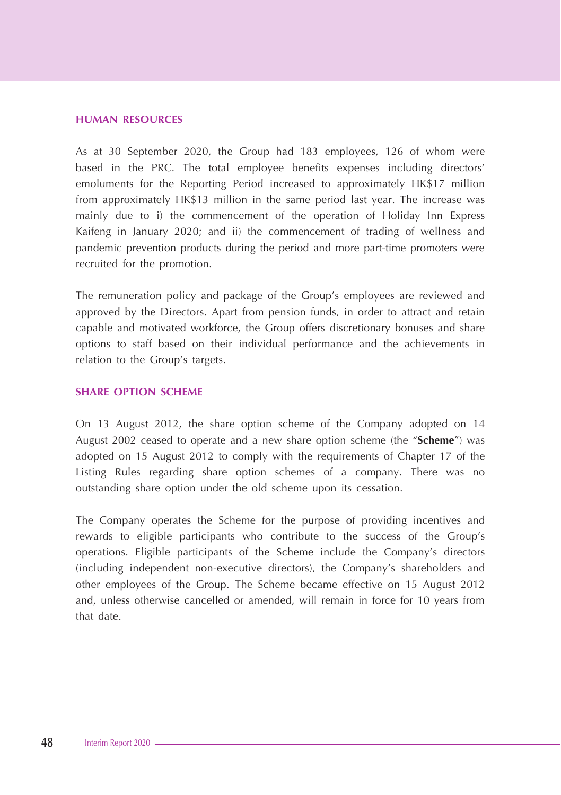#### **HUMAN RESOURCES**

As at 30 September 2020, the Group had 183 employees, 126 of whom were based in the PRC. The total employee benefits expenses including directors' emoluments for the Reporting Period increased to approximately HK\$17 million from approximately HK\$13 million in the same period last year. The increase was mainly due to i) the commencement of the operation of Holiday Inn Express Kaifeng in January 2020; and ii) the commencement of trading of wellness and pandemic prevention products during the period and more part-time promoters were recruited for the promotion.

The remuneration policy and package of the Group's employees are reviewed and approved by the Directors. Apart from pension funds, in order to attract and retain capable and motivated workforce, the Group offers discretionary bonuses and share options to staff based on their individual performance and the achievements in relation to the Group's targets.

#### **SHARE OPTION SCHEME**

On 13 August 2012, the share option scheme of the Company adopted on 14 August 2002 ceased to operate and a new share option scheme (the "**Scheme**") was adopted on 15 August 2012 to comply with the requirements of Chapter 17 of the Listing Rules regarding share option schemes of a company. There was no outstanding share option under the old scheme upon its cessation.

The Company operates the Scheme for the purpose of providing incentives and rewards to eligible participants who contribute to the success of the Group's operations. Eligible participants of the Scheme include the Company's directors (including independent non-executive directors), the Company's shareholders and other employees of the Group. The Scheme became effective on 15 August 2012 and, unless otherwise cancelled or amended, will remain in force for 10 years from that date.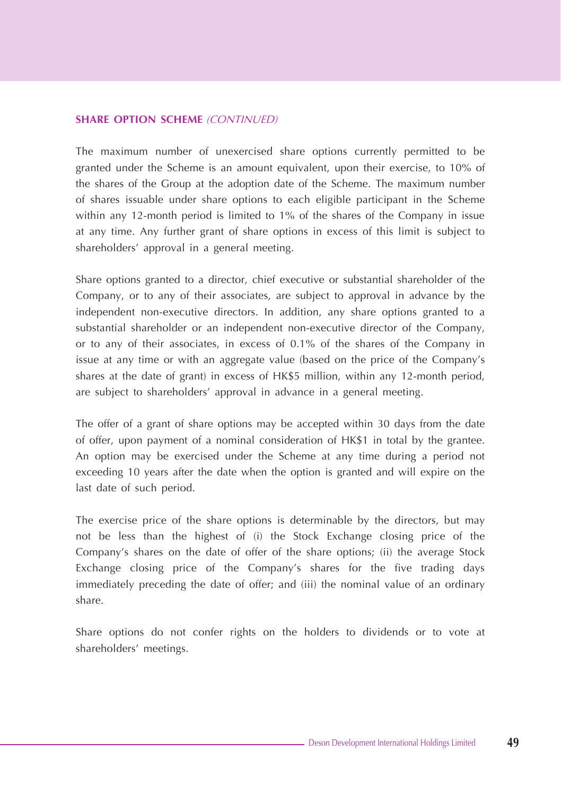#### **SHARE OPTION SCHEME** (CONTINUED)

The maximum number of unexercised share options currently permitted to be granted under the Scheme is an amount equivalent, upon their exercise, to 10% of the shares of the Group at the adoption date of the Scheme. The maximum number of shares issuable under share options to each eligible participant in the Scheme within any 12-month period is limited to 1% of the shares of the Company in issue at any time. Any further grant of share options in excess of this limit is subject to shareholders' approval in a general meeting.

Share options granted to a director, chief executive or substantial shareholder of the Company, or to any of their associates, are subject to approval in advance by the independent non-executive directors. In addition, any share options granted to a substantial shareholder or an independent non-executive director of the Company, or to any of their associates, in excess of 0.1% of the shares of the Company in issue at any time or with an aggregate value (based on the price of the Company's shares at the date of grant) in excess of HK\$5 million, within any 12-month period, are subject to shareholders' approval in advance in a general meeting.

The offer of a grant of share options may be accepted within 30 days from the date of offer, upon payment of a nominal consideration of HK\$1 in total by the grantee. An option may be exercised under the Scheme at any time during a period not exceeding 10 years after the date when the option is granted and will expire on the last date of such period.

The exercise price of the share options is determinable by the directors, but may not be less than the highest of (i) the Stock Exchange closing price of the Company's shares on the date of offer of the share options; (ii) the average Stock Exchange closing price of the Company's shares for the five trading days immediately preceding the date of offer; and (iii) the nominal value of an ordinary share.

Share options do not confer rights on the holders to dividends or to vote at shareholders' meetings.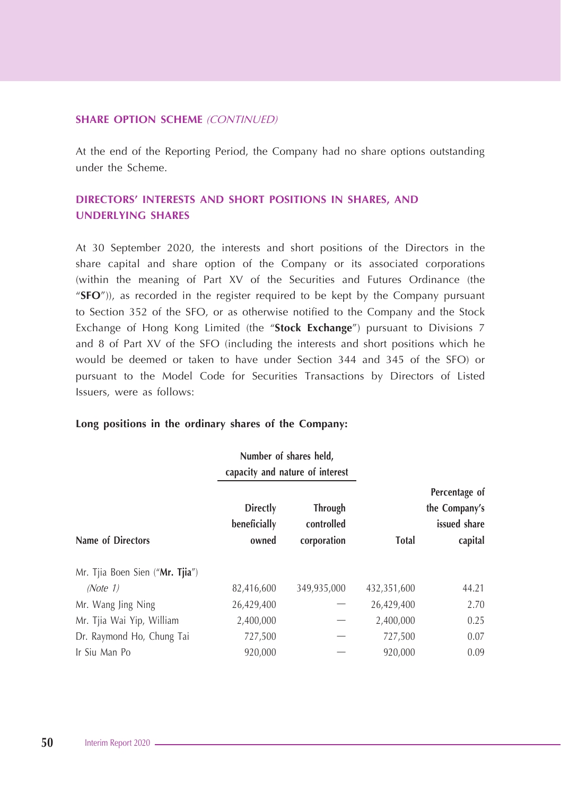#### **SHARE OPTION SCHEME** (CONTINUED)

At the end of the Reporting Period, the Company had no share options outstanding under the Scheme.

## **DIRECTORS' INTERESTS AND SHORT POSITIONS IN SHARES, AND UNDERLYING SHARES**

At 30 September 2020, the interests and short positions of the Directors in the share capital and share option of the Company or its associated corporations (within the meaning of Part XV of the Securities and Futures Ordinance (the "**SFO**")), as recorded in the register required to be kept by the Company pursuant to Section 352 of the SFO, or as otherwise notified to the Company and the Stock Exchange of Hong Kong Limited (the "**Stock Exchange**") pursuant to Divisions 7 and 8 of Part XV of the SFO (including the interests and short positions which he would be deemed or taken to have under Section 344 and 345 of the SFO) or pursuant to the Model Code for Securities Transactions by Directors of Listed Issuers, were as follows:

#### **Long positions in the ordinary shares of the Company:**

|                                 |                                          | Number of shares held,<br>capacity and nature of interest |              |                                                           |
|---------------------------------|------------------------------------------|-----------------------------------------------------------|--------------|-----------------------------------------------------------|
| Name of Directors               | <b>Directly</b><br>beneficially<br>owned | <b>Through</b><br>controlled<br>corporation               | <b>Total</b> | Percentage of<br>the Company's<br>issued share<br>capital |
| Mr. Tjia Boen Sien ("Mr. Tjia") |                                          |                                                           |              |                                                           |
| (Note 1)                        | 82,416,600                               | 349,935,000                                               | 432,351,600  | 44.21                                                     |
| Mr. Wang Jing Ning              | 26,429,400                               |                                                           | 26,429,400   | 2.70                                                      |
| Mr. Tjia Wai Yip, William       | 2,400,000                                |                                                           | 2,400,000    | 0.25                                                      |
| Dr. Raymond Ho, Chung Tai       | 727,500                                  |                                                           | 727,500      | 0.07                                                      |
| Ir Siu Man Po                   | 920.000                                  |                                                           | 920,000      | 0.09                                                      |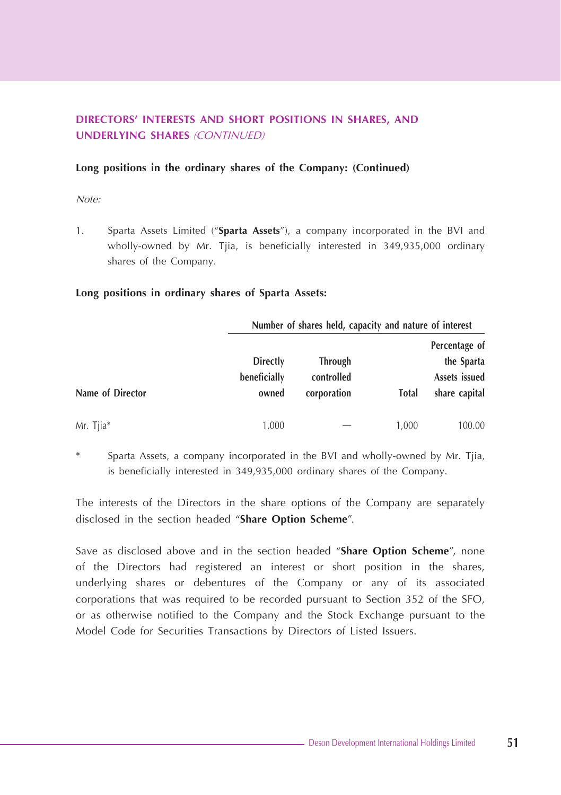## **DIRECTORS' INTERESTS AND SHORT POSITIONS IN SHARES, AND UNDERLYING SHARES** (CONTINUED)

#### **Long positions in the ordinary shares of the Company: (Continued)**

Note:

1. Sparta Assets Limited ("**Sparta Assets**"), a company incorporated in the BVI and wholly-owned by Mr. Tjia, is beneficially interested in 349,935,000 ordinary shares of the Company.

#### **Long positions in ordinary shares of Sparta Assets:**

|                  |              | Number of shares held, capacity and nature of interest |               |               |
|------------------|--------------|--------------------------------------------------------|---------------|---------------|
|                  |              |                                                        | Percentage of |               |
|                  | Directly     | <b>Through</b>                                         |               | the Sparta    |
|                  | beneficially | controlled                                             | Assets issued |               |
| Name of Director | owned        | corporation                                            | Total         | share capital |
| Mr. Tjia*        | 1,000        |                                                        | 1,000         | 100.00        |

Sparta Assets, a company incorporated in the BVI and wholly-owned by Mr. Tjia, is beneficially interested in 349,935,000 ordinary shares of the Company.

The interests of the Directors in the share options of the Company are separately disclosed in the section headed "**Share Option Scheme**".

Save as disclosed above and in the section headed "**Share Option Scheme**", none of the Directors had registered an interest or short position in the shares, underlying shares or debentures of the Company or any of its associated corporations that was required to be recorded pursuant to Section 352 of the SFO, or as otherwise notified to the Company and the Stock Exchange pursuant to the Model Code for Securities Transactions by Directors of Listed Issuers.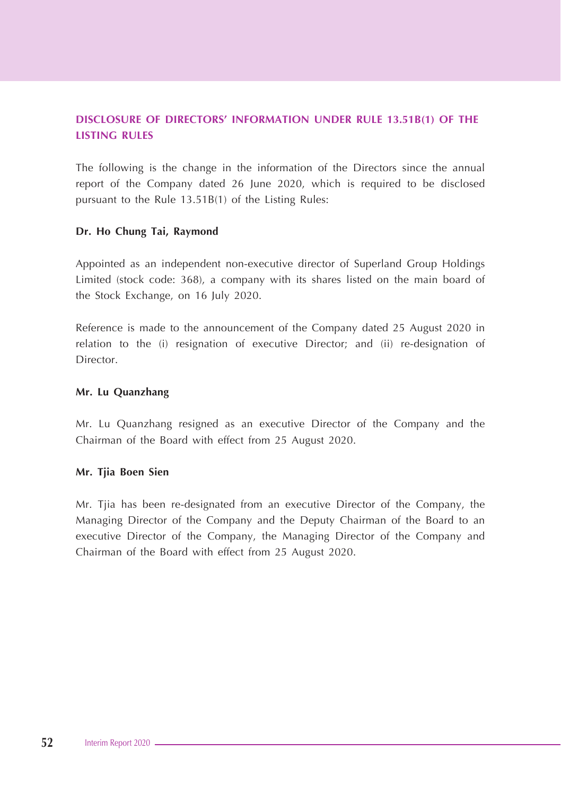## **DISCLOSURE OF DIRECTORS' INFORMATION UNDER RULE 13.51B(1) OF THE LISTING RULES**

The following is the change in the information of the Directors since the annual report of the Company dated 26 June 2020, which is required to be disclosed pursuant to the Rule 13.51B(1) of the Listing Rules:

#### **Dr. Ho Chung Tai, Raymond**

Appointed as an independent non-executive director of Superland Group Holdings Limited (stock code: 368), a company with its shares listed on the main board of the Stock Exchange, on 16 July 2020.

Reference is made to the announcement of the Company dated 25 August 2020 in relation to the (i) resignation of executive Director; and (ii) re-designation of Director.

#### **Mr. Lu Quanzhang**

Mr. Lu Quanzhang resigned as an executive Director of the Company and the Chairman of the Board with effect from 25 August 2020.

#### **Mr. Tjia Boen Sien**

Mr. Tjia has been re-designated from an executive Director of the Company, the Managing Director of the Company and the Deputy Chairman of the Board to an executive Director of the Company, the Managing Director of the Company and Chairman of the Board with effect from 25 August 2020.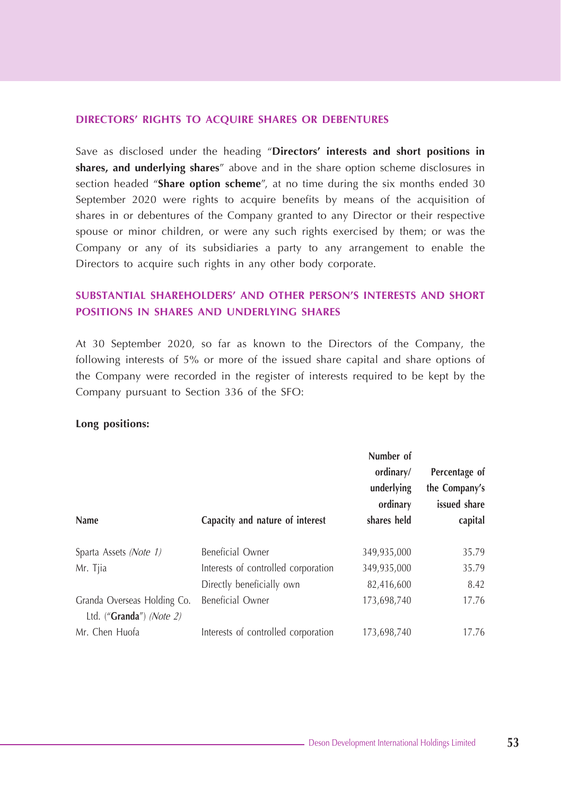#### **DIRECTORS' RIGHTS TO ACQUIRE SHARES OR DEBENTURES**

Save as disclosed under the heading "**Directors' interests and short positions in shares, and underlying shares**" above and in the share option scheme disclosures in section headed "**Share option scheme**", at no time during the six months ended 30 September 2020 were rights to acquire benefits by means of the acquisition of shares in or debentures of the Company granted to any Director or their respective spouse or minor children, or were any such rights exercised by them; or was the Company or any of its subsidiaries a party to any arrangement to enable the Directors to acquire such rights in any other body corporate.

## **SUBSTANTIAL SHAREHOLDERS' AND OTHER PERSON'S INTERESTS AND SHORT POSITIONS IN SHARES AND UNDERLYING SHARES**

At 30 September 2020, so far as known to the Directors of the Company, the following interests of 5% or more of the issued share capital and share options of the Company were recorded in the register of interests required to be kept by the Company pursuant to Section 336 of the SFO:

#### **Long positions:**

| Name                        | Capacity and nature of interest     | Number of<br>ordinary/<br>underlying<br>ordinary<br>shares held | Percentage of<br>the Company's<br>issued share<br>capital |
|-----------------------------|-------------------------------------|-----------------------------------------------------------------|-----------------------------------------------------------|
| Sparta Assets (Note 1)      | Beneficial Owner                    | 349,935,000                                                     | 35.79                                                     |
| Mr. Tjia                    | Interests of controlled corporation | 349,935,000                                                     | 35.79                                                     |
|                             | Directly beneficially own           | 82,416,600                                                      | 8.42                                                      |
| Granda Overseas Holding Co. | Beneficial Owner                    | 173,698,740                                                     | 17.76                                                     |
| Ltd. ("Granda") (Note 2)    |                                     |                                                                 |                                                           |
| Mr. Chen Huofa              | Interests of controlled corporation | 173,698,740                                                     | 17.76                                                     |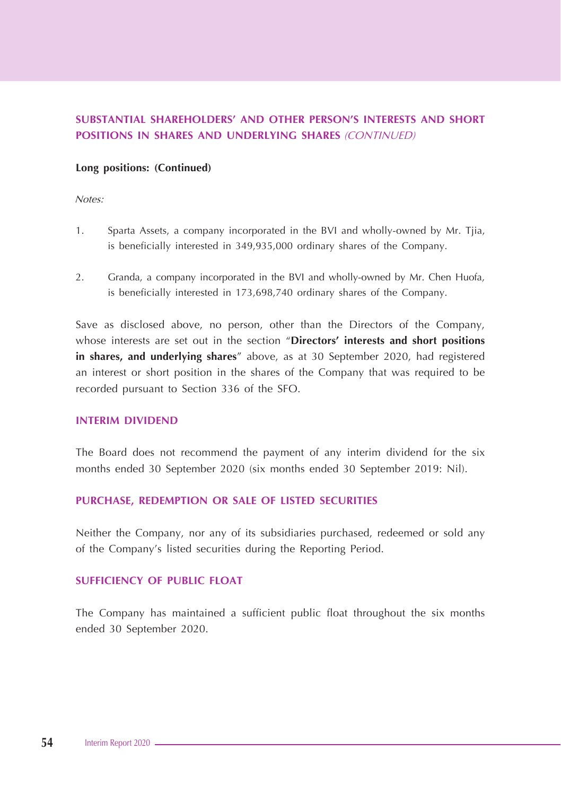## **SUBSTANTIAL SHAREHOLDERS' AND OTHER PERSON'S INTERESTS AND SHORT POSITIONS IN SHARES AND UNDERLYING SHARES** (CONTINUED)

#### **Long positions: (Continued)**

Notes:

- 1. Sparta Assets, a company incorporated in the BVI and wholly-owned by Mr. Tjia, is beneficially interested in 349,935,000 ordinary shares of the Company.
- 2. Granda, a company incorporated in the BVI and wholly-owned by Mr. Chen Huofa, is beneficially interested in 173,698,740 ordinary shares of the Company.

Save as disclosed above, no person, other than the Directors of the Company, whose interests are set out in the section "**Directors' interests and short positions in shares, and underlying shares**" above, as at 30 September 2020, had registered an interest or short position in the shares of the Company that was required to be recorded pursuant to Section 336 of the SFO.

#### **INTERIM DIVIDEND**

The Board does not recommend the payment of any interim dividend for the six months ended 30 September 2020 (six months ended 30 September 2019: Nil).

#### **PURCHASE, REDEMPTION OR SALE OF LISTED SECURITIES**

Neither the Company, nor any of its subsidiaries purchased, redeemed or sold any of the Company's listed securities during the Reporting Period.

#### **SUFFICIENCY OF PUBLIC FLOAT**

The Company has maintained a sufficient public float throughout the six months ended 30 September 2020.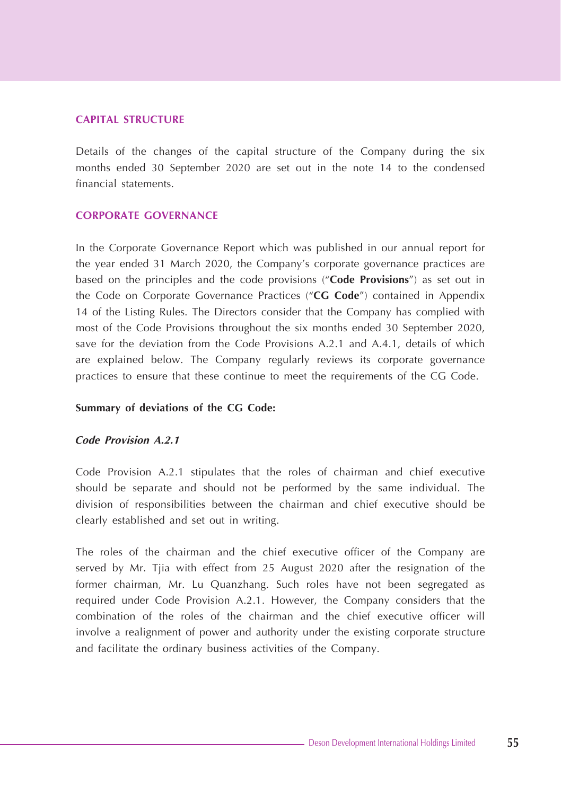#### **CAPITAL STRUCTURE**

Details of the changes of the capital structure of the Company during the six months ended 30 September 2020 are set out in the note 14 to the condensed financial statements.

#### **CORPORATE GOVERNANCE**

In the Corporate Governance Report which was published in our annual report for the year ended 31 March 2020, the Company's corporate governance practices are based on the principles and the code provisions ("**Code Provisions**") as set out in the Code on Corporate Governance Practices ("**CG Code**") contained in Appendix 14 of the Listing Rules. The Directors consider that the Company has complied with most of the Code Provisions throughout the six months ended 30 September 2020, save for the deviation from the Code Provisions A.2.1 and A.4.1, details of which are explained below. The Company regularly reviews its corporate governance practices to ensure that these continue to meet the requirements of the CG Code.

#### **Summary of deviations of the CG Code:**

#### **Code Provision A.2.1**

Code Provision A.2.1 stipulates that the roles of chairman and chief executive should be separate and should not be performed by the same individual. The division of responsibilities between the chairman and chief executive should be clearly established and set out in writing.

The roles of the chairman and the chief executive officer of the Company are served by Mr. Tjia with effect from 25 August 2020 after the resignation of the former chairman, Mr. Lu Quanzhang. Such roles have not been segregated as required under Code Provision A.2.1. However, the Company considers that the combination of the roles of the chairman and the chief executive officer will involve a realignment of power and authority under the existing corporate structure and facilitate the ordinary business activities of the Company.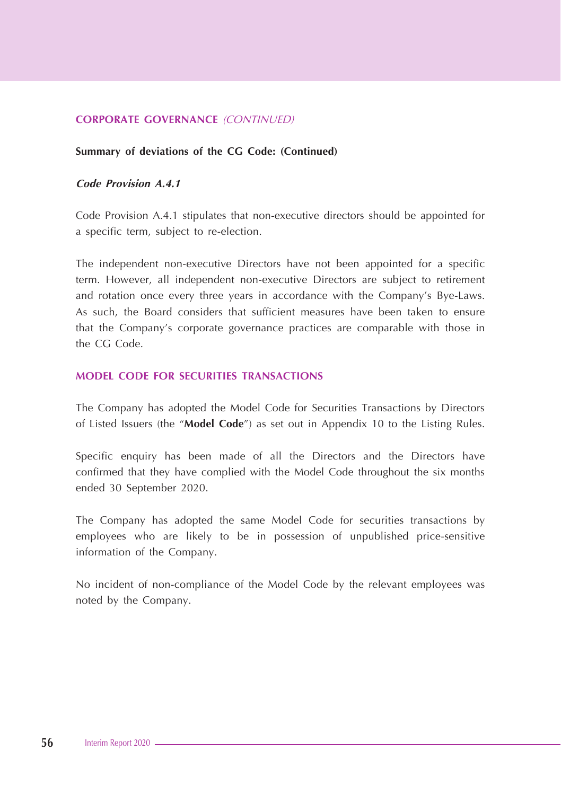#### **CORPORATE GOVERNANCE** (CONTINUED)

#### **Summary of deviations of the CG Code: (Continued)**

## **Code Provision A.4.1**

Code Provision A.4.1 stipulates that non-executive directors should be appointed for a specific term, subject to re-election.

The independent non-executive Directors have not been appointed for a specific term. However, all independent non-executive Directors are subject to retirement and rotation once every three years in accordance with the Company's Bye-Laws. As such, the Board considers that sufficient measures have been taken to ensure that the Company's corporate governance practices are comparable with those in the CG Code.

## **MODEL CODE FOR SECURITIES TRANSACTIONS**

The Company has adopted the Model Code for Securities Transactions by Directors of Listed Issuers (the "**Model Code**") as set out in Appendix 10 to the Listing Rules.

Specific enquiry has been made of all the Directors and the Directors have confirmed that they have complied with the Model Code throughout the six months ended 30 September 2020.

The Company has adopted the same Model Code for securities transactions by employees who are likely to be in possession of unpublished price-sensitive information of the Company.

No incident of non-compliance of the Model Code by the relevant employees was noted by the Company.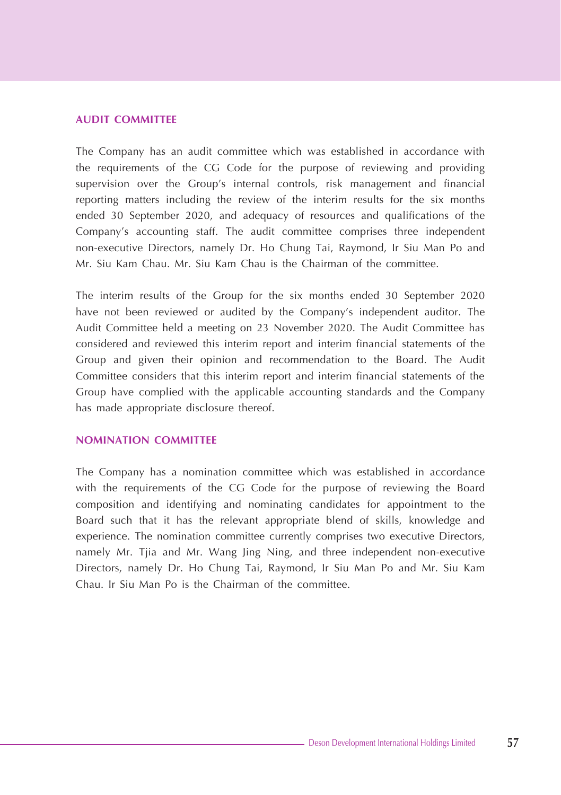#### **AUDIT COMMITTEE**

The Company has an audit committee which was established in accordance with the requirements of the CG Code for the purpose of reviewing and providing supervision over the Group's internal controls, risk management and financial reporting matters including the review of the interim results for the six months ended 30 September 2020, and adequacy of resources and qualifications of the Company's accounting staff. The audit committee comprises three independent non-executive Directors, namely Dr. Ho Chung Tai, Raymond, Ir Siu Man Po and Mr. Siu Kam Chau. Mr. Siu Kam Chau is the Chairman of the committee.

The interim results of the Group for the six months ended 30 September 2020 have not been reviewed or audited by the Company's independent auditor. The Audit Committee held a meeting on 23 November 2020. The Audit Committee has considered and reviewed this interim report and interim financial statements of the Group and given their opinion and recommendation to the Board. The Audit Committee considers that this interim report and interim financial statements of the Group have complied with the applicable accounting standards and the Company has made appropriate disclosure thereof.

#### **NOMINATION COMMITTEE**

The Company has a nomination committee which was established in accordance with the requirements of the CG Code for the purpose of reviewing the Board composition and identifying and nominating candidates for appointment to the Board such that it has the relevant appropriate blend of skills, knowledge and experience. The nomination committee currently comprises two executive Directors, namely Mr. Tjia and Mr. Wang Jing Ning, and three independent non-executive Directors, namely Dr. Ho Chung Tai, Raymond, Ir Siu Man Po and Mr. Siu Kam Chau. Ir Siu Man Po is the Chairman of the committee.